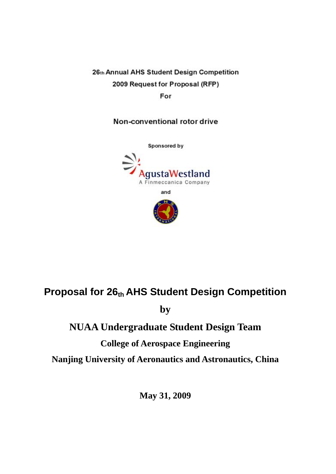26th Annual AHS Student Design Competition 2009 Request for Proposal (RFP)

For

Non-conventional rotor drive



# **Proposal for 26th AHS Student Design Competition**

**by** 

# **NUAA Undergraduate Student Design Team**

# **College of Aerospace Engineering**

**Nanjing University of Aeronautics and Astronautics, China**

**May 31, 2009**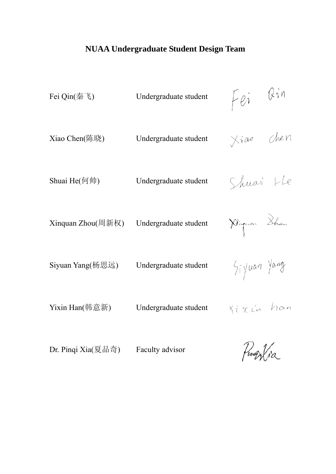# **NUAA Undergraduate Student Design Team**

| Fei Qin(秦飞)      | Undergraduate student | Fei Qin     |
|------------------|-----------------------|-------------|
| Xiao Chen(陈晓)    | Undergraduate student | Xiao Chen   |
| Shuai He(何帅)     | Undergraduate student | Shuai Lle   |
|                  | Undergraduate student | Piquar Shan |
| Siyuan Yang(杨思远) | Undergraduate student | Siyuan Yang |
| Yixin Han(韩意新)   | Undergraduate student | Yixin han   |
|                  |                       | $\sqrt{2}$  |

Dr. Pinqi Xia(夏品奇) Faculty advisor

Pingylia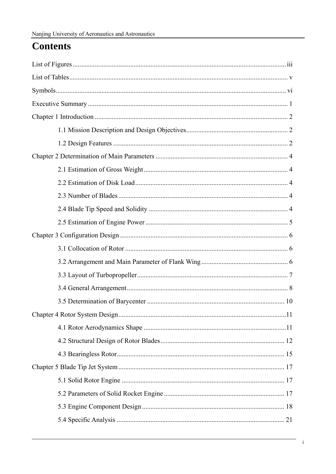# **Contents**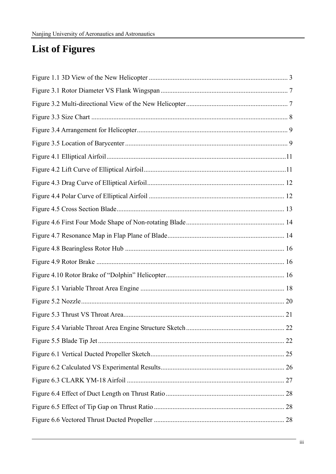# **List of Figures**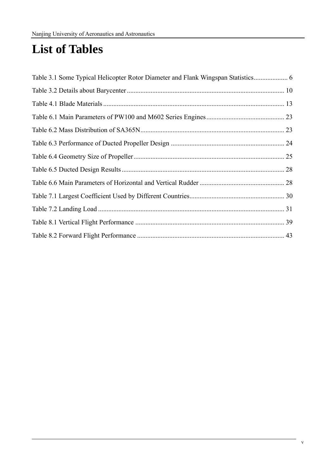# **List of Tables**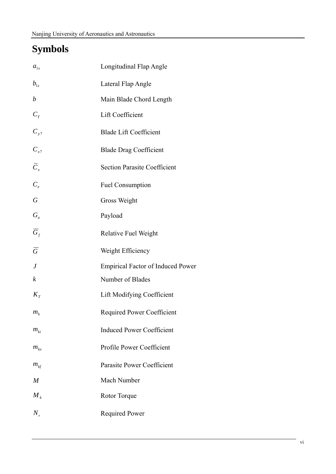# **Symbols**

| $a_{1s}$          | Longitudinal Flap Angle                  |
|-------------------|------------------------------------------|
| $b_{1s}$          | Lateral Flap Angle                       |
| $\boldsymbol{b}$  | Main Blade Chord Length                  |
| $\mathfrak{C}_T$  | Lift Coefficient                         |
| $C_{y7}$          | <b>Blade Lift Coefficient</b>            |
| $C_{x7}$          | <b>Blade Drag Coefficient</b>            |
| $\widetilde{C}_x$ | <b>Section Parasite Coefficient</b>      |
| $C_e$             | <b>Fuel Consumption</b>                  |
| $\boldsymbol{G}$  | Gross Weight                             |
| $G_u$             | Payload                                  |
| $\overline{G}_f$  | <b>Relative Fuel Weight</b>              |
| $\overline{G}$    | Weight Efficiency                        |
| $\boldsymbol{J}$  | <b>Empirical Factor of Induced Power</b> |
| $\boldsymbol{k}$  | Number of Blades                         |
| $K_{\tau}$        | <b>Lift Modifying Coefficient</b>        |
| $m_{k}$           | <b>Required Power Coefficient</b>        |
| $m_{ki}$          | <b>Induced Power Coefficient</b>         |
| $m_{kx}$          | Profile Power Coefficient                |
| $m_{\rm kfs}$     | Parasite Power Coefficient               |
| $\boldsymbol{M}$  | Mach Number                              |
| $M_{k}$           | Rotor Torque                             |
| $N_{r}$           | <b>Required Power</b>                    |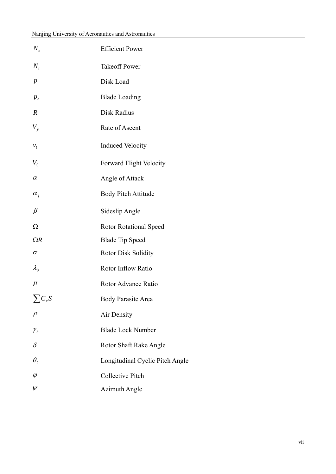| $N_{\scriptscriptstyle\rho}$ | <b>Efficient Power</b>          |
|------------------------------|---------------------------------|
| $N_{\scriptscriptstyle t}$   | <b>Takeoff Power</b>            |
| $\boldsymbol{p}$             | Disk Load                       |
| $p_b$                        | <b>Blade Loading</b>            |
| $\boldsymbol{R}$             | Disk Radius                     |
| $V_{y}$                      | Rate of Ascent                  |
| $\overline{v}_1$             | <b>Induced Velocity</b>         |
| $\bar{V}_0$                  | <b>Forward Flight Velocity</b>  |
| $\alpha$                     | Angle of Attack                 |
| $\alpha_{f}$                 | <b>Body Pitch Attitude</b>      |
| $\beta$                      | Sideslip Angle                  |
|                              |                                 |
| $\Omega$                     | <b>Rotor Rotational Speed</b>   |
| $\Omega R$                   | <b>Blade Tip Speed</b>          |
| $\sigma$                     | <b>Rotor Disk Solidity</b>      |
| $\lambda_{0}$                | <b>Rotor Inflow Ratio</b>       |
| $\mu$                        | Rotor Advance Ratio             |
| $\sum C_{x}S$                | <b>Body Parasite Area</b>       |
| $\rho$                       | Air Density                     |
| ${\mathcal Y}_b$             | <b>Blade Lock Number</b>        |
| $\delta$                     | Rotor Shaft Rake Angle          |
| $\theta_{2}$                 | Longitudinal Cyclic Pitch Angle |
| $\varphi$                    | <b>Collective Pitch</b>         |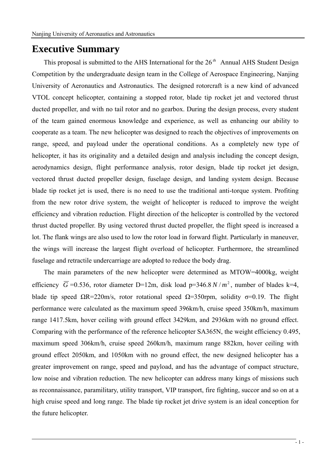# **Executive Summary**

This proposal is submitted to the AHS International for the 26 *th* Annual AHS Student Design Competition by the undergraduate design team in the College of Aerospace Engineering, Nanjing University of Aeronautics and Astronautics. The designed rotorcraft is a new kind of advanced VTOL concept helicopter, containing a stopped rotor, blade tip rocket jet and vectored thrust ducted propeller, and with no tail rotor and no gearbox. During the design process, every student of the team gained enormous knowledge and experience, as well as enhancing our ability to cooperate as a team. The new helicopter was designed to reach the objectives of improvements on range, speed, and payload under the operational conditions. As a completely new type of helicopter, it has its originality and a detailed design and analysis including the concept design, aerodynamics design, flight performance analysis, rotor design, blade tip rocket jet design, vectored thrust ducted propeller design, fuselage design, and landing system design. Because blade tip rocket jet is used, there is no need to use the traditional anti-torque system. Profiting from the new rotor drive system, the weight of helicopter is reduced to improve the weight efficiency and vibration reduction. Flight direction of the helicopter is controlled by the vectored thrust ducted propeller. By using vectored thrust ducted propeller, the flight speed is increased a lot. The flank wings are also used to low the rotor load in forward flight. Particularly in maneuver, the wings will increase the largest flight overload of helicopter. Furthermore, the streamlined fuselage and retractile undercarriage are adopted to reduce the body drag.

The main parameters of the new helicopter were determined as MTOW=4000kg, weight efficiency  $\overline{G}$  =0.536, rotor diameter D=12m, disk load p=346.8  $N/m^2$ , number of blades k=4, blade tip speed  $\Omega$ R=220m/s, rotor rotational speed  $\Omega$ =350rpm, solidity σ=0.19. The flight performance were calculated as the maximum speed 396km/h, cruise speed 350km/h, maximum range 1417.5km, hover ceiling with ground effect 3429km, and 2936km with no ground effect. Comparing with the performance of the reference helicopter SA365N, the weight efficiency 0.495, maximum speed 306km/h, cruise speed 260km/h, maximum range 882km, hover ceiling with ground effect 2050km, and 1050km with no ground effect, the new designed helicopter has a greater improvement on range, speed and payload, and has the advantage of compact structure, low noise and vibration reduction. The new helicopter can address many kings of missions such as reconnaissance, paramilitary, utility transport, VIP transport, fire fighting, succor and so on at a high cruise speed and long range. The blade tip rocket jet drive system is an ideal conception for the future helicopter.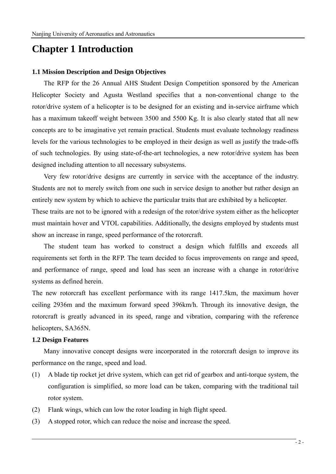# **Chapter 1 Introduction**

#### **1.1 Mission Description and Design Objectives**

The RFP for the 26 Annual AHS Student Design Competition sponsored by the American Helicopter Society and Agusta Westland specifies that a non-conventional change to the rotor/drive system of a helicopter is to be designed for an existing and in-service airframe which has a maximum takeoff weight between 3500 and 5500 Kg. It is also clearly stated that all new concepts are to be imaginative yet remain practical. Students must evaluate technology readiness levels for the various technologies to be employed in their design as well as justify the trade-offs of such technologies. By using state-of-the-art technologies, a new rotor/drive system has been designed including attention to all necessary subsystems.

Very few rotor/drive designs are currently in service with the acceptance of the industry. Students are not to merely switch from one such in service design to another but rather design an entirely new system by which to achieve the particular traits that are exhibited by a helicopter. These traits are not to be ignored with a redesign of the rotor/drive system either as the helicopter must maintain hover and VTOL capabilities. Additionally, the designs employed by students must show an increase in range, speed performance of the rotorcraft.

The student team has worked to construct a design which fulfills and exceeds all requirements set forth in the RFP. The team decided to focus improvements on range and speed, and performance of range, speed and load has seen an increase with a change in rotor/drive systems as defined herein.

The new rotorcraft has excellent performance with its range 1417.5km, the maximum hover ceiling 2936m and the maximum forward speed 396km/h. Through its innovative design, the rotorcraft is greatly advanced in its speed, range and vibration, comparing with the reference helicopters, SA365N.

#### **1.2 Design Features**

Many innovative concept designs were incorporated in the rotorcraft design to improve its performance on the range, speed and load.

- (1) A blade tip rocket jet drive system, which can get rid of gearbox and anti-torque system, the configuration is simplified, so more load can be taken, comparing with the traditional tail rotor system.
- (2) Flank wings, which can low the rotor loading in high flight speed.
- (3) A stopped rotor, which can reduce the noise and increase the speed.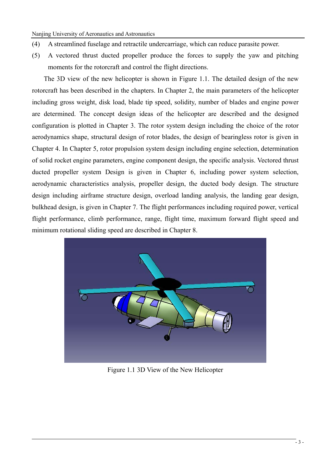- (4) A streamlined fuselage and retractile undercarriage, which can reduce parasite power.
- (5) A vectored thrust ducted propeller produce the forces to supply the yaw and pitching moments for the rotorcraft and control the flight directions.

The 3D view of the new helicopter is shown in Figure 1.1. The detailed design of the new rotorcraft has been described in the chapters. In Chapter 2, the main parameters of the helicopter including gross weight, disk load, blade tip speed, solidity, number of blades and engine power are determined. The concept design ideas of the helicopter are described and the designed configuration is plotted in Chapter 3. The rotor system design including the choice of the rotor aerodynamics shape, structural design of rotor blades, the design of bearingless rotor is given in Chapter 4. In Chapter 5, rotor propulsion system design including engine selection, determination of solid rocket engine parameters, engine component design, the specific analysis. Vectored thrust ducted propeller system Design is given in Chapter 6, including power system selection, aerodynamic characteristics analysis, propeller design, the ducted body design. The structure design including airframe structure design, overload landing analysis, the landing gear design, bulkhead design, is given in Chapter 7. The flight performances including required power, vertical flight performance, climb performance, range, flight time, maximum forward flight speed and minimum rotational sliding speed are described in Chapter 8.



Figure 1.1 3D View of the New Helicopter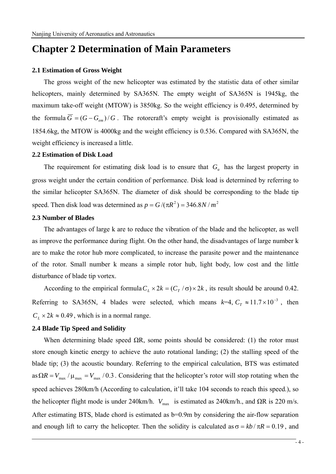# **Chapter 2 Determination of Main Parameters**

#### **2.1 Estimation of Gross Weight**

The gross weight of the new helicopter was estimated by the statistic data of other similar helicopters, mainly determined by SA365N. The empty weight of SA365N is 1945kg, the maximum take-off weight (MTOW) is 3850kg. So the weight efficiency is 0.495, determined by the formula  $\overline{G} = (G - G_{em})/G$ . The rotorcraft's empty weight is provisionally estimated as 1854.6kg, the MTOW is 4000kg and the weight efficiency is 0.536. Compared with SA365N, the weight efficiency is increased a little.

#### **2.2 Estimation of Disk Load**

The requirement for estimating disk load is to ensure that  $G<sub>u</sub>$  has the largest property in gross weight under the certain condition of performance. Disk load is determined by referring to the similar helicopter SA365N. The diameter of disk should be corresponding to the blade tip speed. Then disk load was determined as  $p = G/(\pi R^2) = 346.8N/m^2$ 

#### **2.3 Number of Blades**

The advantages of large k are to reduce the vibration of the blade and the helicopter, as well as improve the performance during flight. On the other hand, the disadvantages of large number k are to make the rotor hub more complicated, to increase the parasite power and the maintenance of the rotor. Small number k means a simple rotor hub, light body, low cost and the little disturbance of blade tip vortex.

According to the empirical formula  $C_L \times 2k = (C_T / \sigma) \times 2k$ , its result should be around 0.42. Referring to SA365N, 4 blades were selected, which means  $k=4$ ,  $C_T \approx 11.7 \times 10^{-3}$ , then  $C_L \times 2k \approx 0.49$ , which is in a normal range.

#### **2.4 Blade Tip Speed and Solidity**

When determining blade speed  $\Omega R$ , some points should be considered: (1) the rotor must store enough kinetic energy to achieve the auto rotational landing; (2) the stalling speed of the blade tip; (3) the acoustic boundary. Referring to the empirical calculation, BTS was estimated as  $\Omega R = V_{\text{max}} / \mu_{\text{max}} = V_{\text{max}} / 0.3$ . Considering that the helicopter's rotor will stop rotating when the speed achieves 280km/h (According to calculation, it'll take 104 seconds to reach this speed.), so the helicopter flight mode is under 240km/h.  $V_{\text{max}}$  is estimated as 240km/h., and  $\Omega R$  is 220 m/s. After estimating BTS, blade chord is estimated as b=0.9m by considering the air-flow separation and enough lift to carry the helicopter. Then the solidity is calculated as  $\sigma = kb / \pi R = 0.19$ , and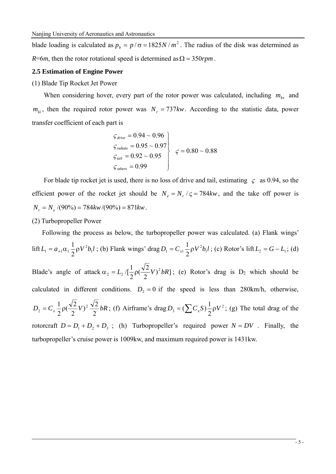blade loading is calculated as  $p_b = p/\sigma = 1825N/m^2$ . The radius of the disk was determined as *R*=6*m*, then the rotor rotational speed is determined as  $\Omega = 350$ *rpm*.

#### **2.5 Estimation of Engine Power**

(1) Blade Tip Rocket Jet Power

When considering hover, every part of the rotor power was calculated, including  $m_{kx}$  and  $m_{ki}$ , then the required rotor power was  $N_r = 737$ *kw*. According to the statistic data, power transfer coefficient of each part is

$$
\left\{\n\begin{aligned}\n\zeta_{drive} &= 0.94 \sim 0.96 \\
\zeta_{\text{radiate}} &= 0.95 \sim 0.97 \\
\zeta_{\text{tail}} &= 0.92 \sim 0.95 \\
\zeta_{\text{others}} &= 0.99\n\end{aligned}\n\right.\n\left.\n\begin{aligned}\n\zeta &= 0.80 \sim 0.88 \\
\zeta &= 0.80 \end{aligned}\n\right.
$$

For blade tip rocket jet is used, there is no loss of drive and tail, estimating  $\zeta$  as 0.94, so the efficient power of the rocket jet should be  $N_e = N_r / \varsigma = 784kw$ , and the take off power is  $N_t = N_e / (90\%) = 784$ *kw* $/(90\%) = 871$ *kw*.

(2) Turbopropeller Power

Following the process as below, the turbopropeller power was calculated. (a) Flank wings'  $\text{lift } L_1 = a_{\infty 1} \alpha_1 \frac{1}{2} \rho V^2 b_1 l$  $\alpha_1 = a_{\infty 1} \alpha_1 \frac{1}{2} \rho V^2 b_l l$ ; (b) Flank wings' drag  $D_1 = C_{x1} \frac{1}{2} \rho V^2 b_l l$  $D_1 = C_{x1} \frac{1}{2} \rho V^2 b_1 l$ ; (c) Rotor's lift  $L_2 = G - L_1$ ; (d) Blade's angle of attack  $\alpha_2 = L_2 / [\frac{1}{2} \rho (\frac{\sqrt{2}}{2} V)^2 bR]$ ; (e) Rotor's drag is D<sub>2</sub> which should be calculated in different conditions.  $D_2 = 0$  if the speed is less than 280km/h, otherwise,  $D_2 = C_x \frac{1}{2} \rho \left(\frac{\sqrt{2}}{2}V\right)^2 \frac{\sqrt{2}}{2} bR$ ; (f) Airframe's drag  $D_3 = \left(\sum C_x S\right) \frac{1}{2} \rho V^2$ ; (g) The total drag of the rotorcraft  $D = D_1 + D_2 + D_3$ ; (h) Turbopropeller's required power  $N = DV$ . Finally, the turbopropeller's cruise power is 1009kw, and maximum required power is 1431kw.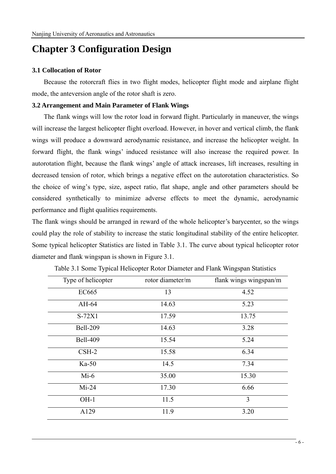# **Chapter 3 Configuration Design**

### **3.1 Collocation of Rotor**

Because the rotorcraft flies in two flight modes, helicopter flight mode and airplane flight mode, the anteversion angle of the rotor shaft is zero.

### **3.2 Arrangement and Main Parameter of Flank Wings**

The flank wings will low the rotor load in forward flight. Particularly in maneuver, the wings will increase the largest helicopter flight overload. However, in hover and vertical climb, the flank wings will produce a downward aerodynamic resistance, and increase the helicopter weight. In forward flight, the flank wings' induced resistance will also increase the required power. In autorotation flight, because the flank wings' angle of attack increases, lift increases, resulting in decreased tension of rotor, which brings a negative effect on the autorotation characteristics. So the choice of wing's type, size, aspect ratio, flat shape, angle and other parameters should be considered synthetically to minimize adverse effects to meet the dynamic, aerodynamic performance and flight qualities requirements.

The flank wings should be arranged in reward of the whole helicopter's barycenter, so the wings could play the role of stability to increase the static longitudinal stability of the entire helicopter. Some typical helicopter Statistics are listed in Table 3.1. The curve about typical helicopter rotor diameter and flank wingspan is shown in Figure 3.1.

| Type of helicopter | rotor diameter/m | flank wings wingspan/m |
|--------------------|------------------|------------------------|
| <b>EC665</b>       | 13               | 4.52                   |
| AH-64              | 14.63            | 5.23                   |
| $S-72X1$           | 17.59            | 13.75                  |
| <b>Bell-209</b>    | 14.63            | 3.28                   |
| <b>Bell-409</b>    | 15.54            | 5.24                   |
| $\text{CSH-2}$     | 15.58            | 6.34                   |
| $Ka-50$            | 14.5             | 7.34                   |
| $Mi-6$             | 35.00            | 15.30                  |
| $Mi-24$            | 17.30            | 6.66                   |
| $OH-1$             | 11.5             | 3                      |
| A129               | 11.9             | 3.20                   |

Table 3.1 Some Typical Helicopter Rotor Diameter and Flank Wingspan Statistics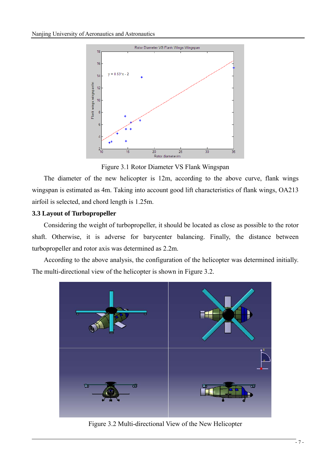

Figure 3.1 Rotor Diameter VS Flank Wingspan

The diameter of the new helicopter is 12m, according to the above curve, flank wings wingspan is estimated as 4m. Taking into account good lift characteristics of flank wings, OA213 airfoil is selected, and chord length is 1.25m.

## **3.3 Layout of Turbopropeller**

Considering the weight of turbopropeller, it should be located as close as possible to the rotor shaft. Otherwise, it is adverse for barycenter balancing. Finally, the distance between turbopropeller and rotor axis was determined as 2.2m.

According to the above analysis, the configuration of the helicopter was determined initially. The multi-directional view of the helicopter is shown in Figure 3.2.



Figure 3.2 Multi-directional View of the New Helicopter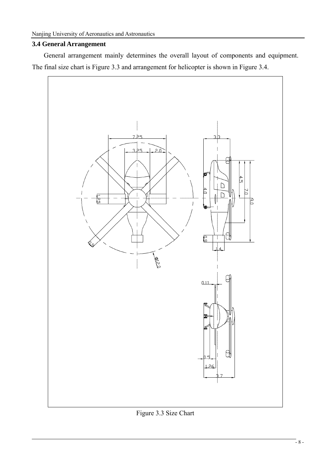### **3.4 General Arrangement**

General arrangement mainly determines the overall layout of components and equipment. The final size chart is Figure 3.3 and arrangement for helicopter is shown in Figure 3.4.



Figure 3.3 Size Chart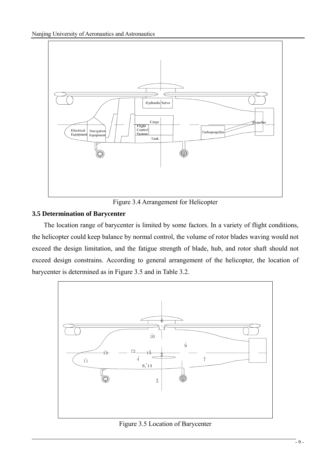

Figure 3.4 Arrangement for Helicopter

## **3.5 Determination of Barycenter**

The location range of barycenter is limited by some factors. In a variety of flight conditions, the helicopter could keep balance by normal control, the volume of rotor blades waving would not exceed the design limitation, and the fatigue strength of blade, hub, and rotor shaft should not exceed design constrains. According to general arrangement of the helicopter, the location of barycenter is determined as in Figure 3.5 and in Table 3.2.



Figure 3.5 Location of Barycenter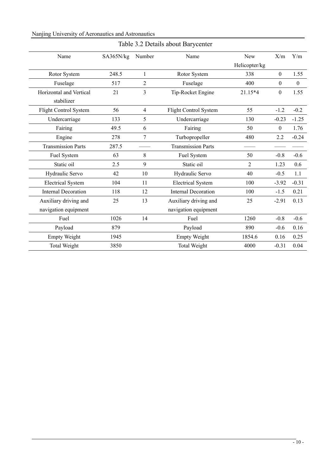### Nanjing University of Aeronautics and Astronautics

| Name                       | SA365N/kg | Number         | Name                       | New           | X/m              | Y/m              |
|----------------------------|-----------|----------------|----------------------------|---------------|------------------|------------------|
|                            |           |                |                            | Helicopter/kg |                  |                  |
| Rotor System               | 248.5     | $\mathbf{1}$   | Rotor System               | 338           | $\boldsymbol{0}$ | 1.55             |
| Fuselage                   | 517       | $\overline{2}$ | Fuselage                   | 400           | $\boldsymbol{0}$ | $\boldsymbol{0}$ |
| Horizontal and Vertical    | 21        | 3              | Tip-Rocket Engine          | 21.15*4       | $\boldsymbol{0}$ | 1.55             |
| stabilizer                 |           |                |                            |               |                  |                  |
| Flight Control System      | 56        | $\overline{4}$ | Flight Control System      | 55            | $-1.2$           | $-0.2$           |
| Undercarriage              | 133       | 5              | Undercarriage              | 130           | $-0.23$          | $-1.25$          |
| Fairing                    | 49.5      | 6              | Fairing                    | 50            | $\boldsymbol{0}$ | 1.76             |
| Engine                     | 278       | $\tau$         | Turbopropeller             | 480           | 2.2              | $-0.24$          |
| <b>Transmission Parts</b>  | 287.5     |                | <b>Transmission Parts</b>  |               |                  |                  |
| Fuel System                | 63        | 8              | Fuel System                | 50            | $-0.8$           | $-0.6$           |
| Static oil                 | 2.5       | 9              | Static oil                 | 2             | 1.23             | 0.6              |
| Hydraulic Servo            | 42        | 10             | Hydraulic Servo            | 40            | $-0.5$           | 1.1              |
| <b>Electrical System</b>   | 104       | 11             | <b>Electrical System</b>   | 100           | $-3.92$          | $-0.31$          |
| <b>Internal Decoration</b> | 118       | 12             | <b>Internal Decoration</b> | 100           | $-1.5$           | 0.21             |
| Auxiliary driving and      | 25        | 13             | Auxiliary driving and      | 25            | $-2.91$          | 0.13             |
| navigation equipment       |           |                | navigation equipment       |               |                  |                  |
| Fuel                       | 1026      | 14             | Fuel                       | 1260          | $-0.8$           | $-0.6$           |
| Payload                    | 879       |                | Payload                    | 890           | $-0.6$           | 0.16             |
| <b>Empty Weight</b>        | 1945      |                | <b>Empty Weight</b>        | 1854.6        | 0.16             | 0.25             |
| <b>Total Weight</b>        | 3850      |                | <b>Total Weight</b>        | 4000          | $-0.31$          | 0.04             |

### Table 3.2 Details about Barycenter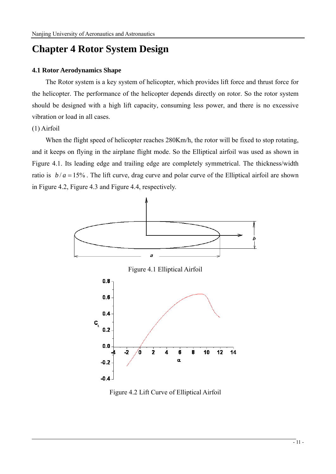# **Chapter 4 Rotor System Design**

### **4.1 Rotor Aerodynamics Shape**

 The Rotor system is a key system of helicopter, which provides lift force and thrust force for the helicopter. The performance of the helicopter depends directly on rotor. So the rotor system should be designed with a high lift capacity, consuming less power, and there is no excessive vibration or load in all cases.

## (1) Airfoil

When the flight speed of helicopter reaches 280Km/h, the rotor will be fixed to stop rotating, and it keeps on flying in the airplane flight mode. So the Elliptical airfoil was used as shown in Figure 4.1. Its leading edge and trailing edge are completely symmetrical. The thickness/width ratio is  $b/a = 15\%$ . The lift curve, drag curve and polar curve of the Elliptical airfoil are shown in Figure 4.2, Figure 4.3 and Figure 4.4, respectively.



Figure 4.2 Lift Curve of Elliptical Airfoil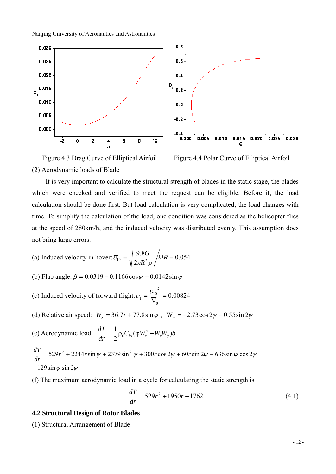

(2) Aerodynamic loads of Blade

Figure 4.3 Drag Curve of Elliptical Airfoil Figure 4.4 Polar Curve of Elliptical Airfoil

It is very important to calculate the structural strength of blades in the static stage, the blades which were checked and verified to meet the request can be eligible. Before it, the load calculation should be done first. But load calculation is very complicated, the load changes with time. To simplify the calculation of the load, one condition was considered as the helicopter flies at the speed of 280km/h, and the induced velocity was distributed evenly. This assumption does not bring large errors.

- (a) Induced velocity in hover:  $\overline{v}_{10} = \sqrt{\frac{3.88}{2}}$   $\sqrt{\Omega}R = 0.054$ 2  $\bar{p}_{10} = \sqrt{\frac{9.8G}{2\pi R^2 \rho}} / \Omega R =$  $\pi$ K  $^ \rho$ υ
- (b) Flap angle:  $\beta = 0.0319 0.1166 \cos \psi 0.0142 \sin \psi$
- (c) Induced velocity of forward flight:  $\overline{v_1} = \frac{v_{10}}{\sqrt{v_1}} = 0.00824$  $\overline{\mathsf{V}}_{\scriptscriptstyle{0}}$ 2  $\overline{U}_1 = \frac{U_{10}}{\overline{V_1}} =$
- (d) Relative air speed:  $W_x = 36.7r + 77.8 \sin \psi$ ,  $W_y = -2.73 \cos 2\psi 0.55 \sin 2\psi$
- (e) Aerodynamic load:  $\frac{dT}{dr} = \frac{1}{2} \rho_0 C_{l\alpha} (\varphi W_x^2 W_x W_y) b$

+ 129 sin  $\psi$  sin 2 $\psi$  $= 529r^2 + 2244r\sin\psi + 2379\sin^2\psi + 300r\cos 2\psi + 60r\sin 2\psi + 636\sin\psi\cos 2\psi$ *dr dT*

(f) The maximum aerodynamic load in a cycle for calculating the static strength is

$$
\frac{dT}{dr} = 529r^2 + 1950r + 1762\tag{4.1}
$$

#### **4.2 Structural Design of Rotor Blades**

(1) Structural Arrangement of Blade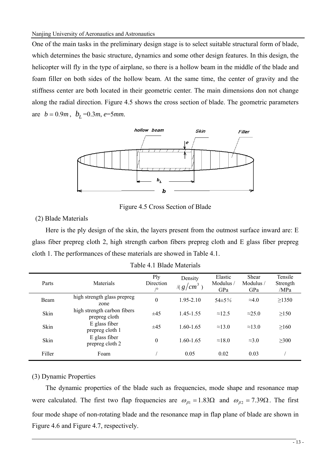One of the main tasks in the preliminary design stage is to select suitable structural form of blade, which determines the basic structure, dynamics and some other design features. In this design, the helicopter will fly in the type of airplane, so there is a hollow beam in the middle of the blade and foam filler on both sides of the hollow beam. At the same time, the center of gravity and the stiffness center are both located in their geometric center. The main dimensions don not change along the radial direction. Figure 4.5 shows the cross section of blade. The geometric parameters are  $b = 0.9m$ ,  $b<sub>I</sub> = 0.3m$ ,  $e = 5mm$ .



Figure 4.5 Cross Section of Blade

(2) Blade Materials

Here is the ply design of the skin, the layers present from the outmost surface inward are: E glass fiber prepreg cloth 2, high strength carbon fibers prepreg cloth and E glass fiber prepreg cloth 1. The performances of these materials are showed in Table 4.1.

| Parts  | Materials                                    | Ply<br>Direction<br>/0 | Density<br>$\frac{1}{2}$ (g/cm <sup>3</sup> ) | Elastic<br>Modulus /<br>GPa | Shear<br>Modulus /<br>GPa | Tensile<br>Strength<br>/MPa |
|--------|----------------------------------------------|------------------------|-----------------------------------------------|-----------------------------|---------------------------|-----------------------------|
| Beam   | high strength glass prepreg<br>zone          | $\theta$               | $1.95 - 2.10$                                 | $54\pm5\%$                  | $\approx 4.0$             | >1350                       |
| Skin   | high strength carbon fibers<br>prepreg cloth | ±45                    | 1.45-1.55                                     | $\approx$ 12.5              | $\approx$ 25.0            | $\geq$ 150                  |
| Skin   | E glass fiber<br>prepreg cloth 1             | $\pm 45$               | $1.60 - 1.65$                                 | $\approx$ 13.0              | $\approx$ 13.0            | >160                        |
| Skin   | E glass fiber<br>prepreg cloth 2             | $\theta$               | $1.60 - 1.65$                                 | $\approx$ 18.0              | $\approx 3.0$             | $\geq 300$                  |
| Filler | Foam                                         |                        | 0.05                                          | 0.02                        | 0.03                      |                             |

|  |  |  | Table 4.1 Blade Materials |
|--|--|--|---------------------------|
|--|--|--|---------------------------|

#### (3) Dynamic Properties

The dynamic properties of the blade such as frequencies, mode shape and resonance map were calculated. The first two flap frequencies are  $\omega_{\beta 1} = 1.83 \Omega$  and  $\omega_{\beta 2} = 7.39 \Omega$ . The first four mode shape of non-rotating blade and the resonance map in flap plane of blade are shown in Figure 4.6 and Figure 4.7, respectively.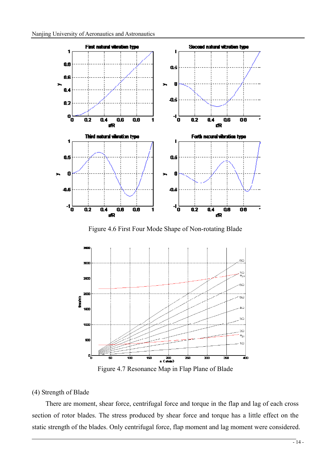

Figure 4.6 First Four Mode Shape of Non-rotating Blade



Figure 4.7 Resonance Map in Flap Plane of Blade

#### (4) Strength of Blade

There are moment, shear force, centrifugal force and torque in the flap and lag of each cross section of rotor blades. The stress produced by shear force and torque has a little effect on the static strength of the blades. Only centrifugal force, flap moment and lag moment were considered.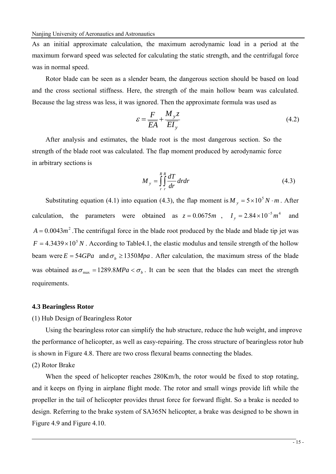As an initial approximate calculation, the maximum aerodynamic load in a period at the maximum forward speed was selected for calculating the static strength, and the centrifugal force was in normal speed.

Rotor blade can be seen as a slender beam, the dangerous section should be based on load and the cross sectional stiffness. Here, the strength of the main hollow beam was calculated. Because the lag stress was less, it was ignored. Then the approximate formula was used as

$$
\varepsilon = \frac{F}{\overline{EA}} + \frac{M_y z}{\overline{EI_y}}
$$
(4.2)

After analysis and estimates, the blade root is the most dangerous section. So the strength of the blade root was calculated. The flap moment produced by aerodynamic force in arbitrary sections is

$$
M_{y} = \int_{r}^{R} \int_{r}^{R} \frac{dT}{dr} dr dr \tag{4.3}
$$

Substituting equation (4.1) into equation (4.3), the flap moment is  $M_v = 5 \times 10^5 N \cdot m$ . After calculation, the parameters were obtained as  $z = 0.0675m$ ,  $I_y = 2.84 \times 10^{-5}m^4$  and  $A = 0.0043m<sup>2</sup>$ . The centrifugal force in the blade root produced by the blade and blade tip jet was  $F = 4.3439 \times 10^5 N$ . According to Table4.1, the elastic modulus and tensile strength of the hollow beam were  $E = 54GPa$  and  $\sigma_b \ge 1350Mpa$ . After calculation, the maximum stress of the blade was obtained as  $\sigma_{\text{max}} = 1289.8 MPa < \sigma_b$ . It can be seen that the blades can meet the strength requirements.

#### **4.3 Bearingless Rotor**

(1) Hub Design of Bearingless Rotor

Using the bearingless rotor can simplify the hub structure, reduce the hub weight, and improve the performance of helicopter, as well as easy-repairing. The cross structure of bearingless rotor hub is shown in Figure 4.8. There are two cross flexural beams connecting the blades.

#### (2) Rotor Brake

When the speed of helicopter reaches  $280Km/h$ , the rotor would be fixed to stop rotating, and it keeps on flying in airplane flight mode. The rotor and small wings provide lift while the propeller in the tail of helicopter provides thrust force for forward flight. So a brake is needed to design. Referring to the brake system of SA365N helicopter, a brake was designed to be shown in Figure 4.9 and Figure 4.10.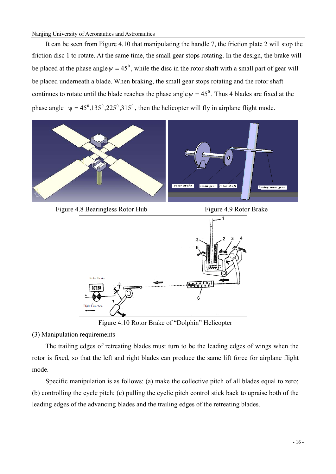#### Nanjing University of Aeronautics and Astronautics

It can be seen from Figure 4.10 that manipulating the handle 7, the friction plate 2 will stop the friction disc 1 to rotate. At the same time, the small gear stops rotating. In the design, the brake will be placed at the phase angle  $\psi = 45^\circ$ , while the disc in the rotor shaft with a small part of gear will be placed underneath a blade. When braking, the small gear stops rotating and the rotor shaft continues to rotate until the blade reaches the phase angle  $\psi = 45^\circ$ . Thus 4 blades are fixed at the phase angle  $\psi = 45^\circ, 135^\circ, 225^\circ, 315^\circ$ , then the helicopter will fly in airplane flight mode.



Figure 4.8 Bearingless Rotor Hub Figure 4.9 Rotor Brake



Figure 4.10 Rotor Brake of "Dolphin" Helicopter

(3) Manipulation requirements

The trailing edges of retreating blades must turn to be the leading edges of wings when the rotor is fixed, so that the left and right blades can produce the same lift force for airplane flight mode.

Specific manipulation is as follows: (a) make the collective pitch of all blades equal to zero; (b) controlling the cycle pitch; (c) pulling the cyclic pitch control stick back to upraise both of the leading edges of the advancing blades and the trailing edges of the retreating blades.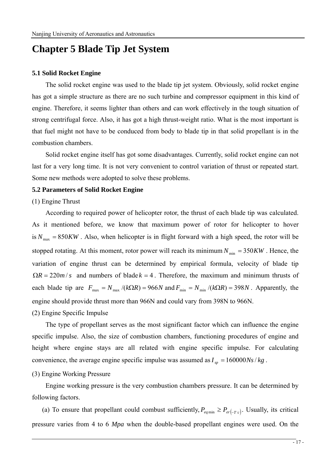# **Chapter 5 Blade Tip Jet System**

#### **5.1 Solid Rocket Engine**

The solid rocket engine was used to the blade tip jet system. Obviously, solid rocket engine has got a simple structure as there are no such turbine and compressor equipment in this kind of engine. Therefore, it seems lighter than others and can work effectively in the tough situation of strong centrifugal force. Also, it has got a high thrust-weight ratio. What is the most important is that fuel might not have to be conduced from body to blade tip in that solid propellant is in the combustion chambers.

Solid rocket engine itself has got some disadvantages. Currently, solid rocket engine can not last for a very long time. It is not very convenient to control variation of thrust or repeated start. Some new methods were adopted to solve these problems.

#### **5.2 Parameters of Solid Rocket Engine**

#### (1) Engine Thrust

According to required power of helicopter rotor, the thrust of each blade tip was calculated. As it mentioned before, we know that maximum power of rotor for helicopter to hover is  $N_{\text{max}} = 850KW$ . Also, when helicopter is in flight forward with a high speed, the rotor will be stopped rotating. At this moment, rotor power will reach its minimum  $N_{\text{min}} = 350KW$ . Hence, the variation of engine thrust can be determined by empirical formula, velocity of blade tip  $\Omega R = 220m/s$  and numbers of blade  $k = 4$ . Therefore, the maximum and minimum thrusts of each blade tip are  $F_{\text{max}} = N_{\text{max}} / (k\Omega R) = 966N$  and  $F_{\text{min}} = N_{\text{min}} / (k\Omega R) = 398N$ . Apparently, the engine should provide thrust more than 966N and could vary from 398N to 966N.

#### (2) Engine Specific Impulse

The type of propellant serves as the most significant factor which can influence the engine specific impulse. Also, the size of combustion chambers, functioning procedures of engine and height where engine stays are all related with engine specific impulse. For calculating convenience, the average engine specific impulse was assumed as  $I_m = 160000Ns/kg$ .

#### (3) Engine Working Pressure

Engine working pressure is the very combustion chambers pressure. It can be determined by following factors.

(a) To ensure that propellant could combust sufficiently,  $P_{eq \text{min}} \ge P_{er(-T_c)}$ . Usually, its critical pressure varies from 4 to 6 *Mpa* when the double-based propellant engines were used. On the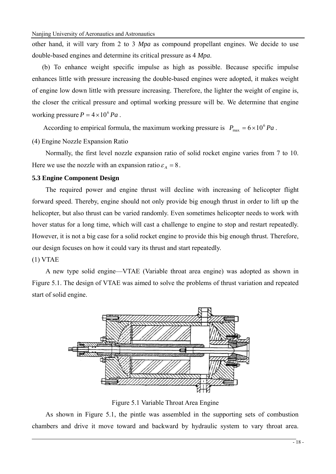Nanjing University of Aeronautics and Astronautics

other hand, it will vary from 2 to 3 *Mpa* as compound propellant engines. We decide to use double-based engines and determine its critical pressure as 4 *Mpa*.

(b) To enhance weight specific impulse as high as possible. Because specific impulse enhances little with pressure increasing the double-based engines were adopted, it makes weight of engine low down little with pressure increasing. Therefore, the lighter the weight of engine is, the closer the critical pressure and optimal working pressure will be. We determine that engine working pressure  $P = 4 \times 10^6 Pa$ .

According to empirical formula, the maximum working pressure is  $P_{\text{max}} = 6 \times 10^6 Pa$ .

(4) Engine Nozzle Expansion Ratio

Normally, the first level nozzle expansion ratio of solid rocket engine varies from 7 to 10. Here we use the nozzle with an expansion ratio  $\varepsilon_A = 8$ .

## **5.3 Engine Component Design**

The required power and engine thrust will decline with increasing of helicopter flight forward speed. Thereby, engine should not only provide big enough thrust in order to lift up the helicopter, but also thrust can be varied randomly. Even sometimes helicopter needs to work with hover status for a long time, which will cast a challenge to engine to stop and restart repeatedly. However, it is not a big case for a solid rocket engine to provide this big enough thrust. Therefore, our design focuses on how it could vary its thrust and start repeatedly.

(1) VTAE

A new type solid engine—VTAE (Variable throat area engine) was adopted as shown in Figure 5.1. The design of VTAE was aimed to solve the problems of thrust variation and repeated start of solid engine.



Figure 5.1 Variable Throat Area Engine

As shown in Figure 5.1, the pintle was assembled in the supporting sets of combustion chambers and drive it move toward and backward by hydraulic system to vary throat area.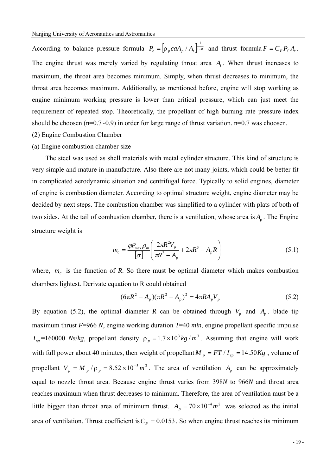According to balance pressure formula  $P_c = \left[ \rho_p caA_p / A_t \right]_{i=n}^{1}$  and thrust formula  $F = C_F P_c A_t$ . The engine thrust was merely varied by regulating throat area  $A_t$ . When thrust increases to maximum, the throat area becomes minimum. Simply, when thrust decreases to minimum, the throat area becomes maximum. Additionally, as mentioned before, engine will stop working as engine minimum working pressure is lower than critical pressure, which can just meet the requirement of repeated stop. Theoretically, the propellant of high burning rate pressure index should be choosen ( $n=0.7\sim0.9$ ) in order for large range of thrust variation.  $n=0.7$  was choosen.

- (2) Engine Combustion Chamber
- (a) Engine combustion chamber size

The steel was used as shell materials with metal cylinder structure. This kind of structure is very simple and mature in manufacture. Also there are not many joints, which could be better fit in complicated aerodynamic situation and centrifugal force. Typically to solid engines, diameter of engine is combustion diameter. According to optimal structure weight, engine diameter may be decided by next steps. The combustion chamber was simplified to a cylinder with plats of both of two sides. At the tail of combustion chamber, there is a ventilation, whose area is  $A<sub>n</sub>$ . The Engine structure weight is

$$
m_c = \frac{\rho P_{\text{max}} \rho_m}{\sigma} \left( \frac{2\pi R^2 V_p}{\pi R^2 - A_p} + 2\pi R^3 - A_p R \right)
$$
(5.1)

where,  $m_c$  is the function of *R*. So there must be optimal diameter which makes combustion chambers lightest. Derivate equation to R could obtained

$$
(6\pi R^2 - A_p)(\pi R^2 - A_p)^2 = 4\pi R A_p V_p \tag{5.2}
$$

By equation (5.2), the optimal diameter *R* can be obtained through  $V_p$  and  $A_p$ . blade tip maximum thrust *F*=966 *N*, engine working duration *T*=40 *min*, engine propellant specific impulse  $I_{sp}$  =160000 *Ns/kg*, propellant density  $\rho_p = 1.7 \times 10^3 kg/m^3$ . Assuming that engine will work with full power about 40 minutes, then weight of propellant  $M_p = FT / I_{sp} = 14.50Kg$ , volume of propellant  $V_p = M_p / \rho_p = 8.52 \times 10^{-3} m^3$ . The area of ventilation  $A_p$  can be approximately equal to nozzle throat area. Because engine thrust varies from 398*N* to 966*N* and throat area reaches maximum when thrust decreases to minimum. Therefore, the area of ventilation must be a little bigger than throat area of minimum thrust.  $A_p = 70 \times 10^{-4} m^2$  was selected as the initial area of ventilation. Thrust coefficient is  $C_F = 0.0153$ . So when engine thrust reaches its minimum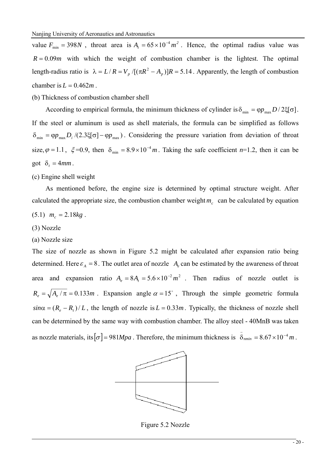value  $F_{\min} = 398N$ , throat area is  $A_t = 65 \times 10^{-4} m^2$ . Hence, the optimal radius value was  $R = 0.09m$  with which the weight of combustion chamber is the lightest. The optimal length-radius ratio is  $\lambda = L/R = V_p /[(\pi R^2 - A_p)]R = 5.14$ . Apparently, the length of combustion chamber is  $L = 0.462m$ .

(b) Thickness of combustion chamber shell

According to empirical formula, the minimum thickness of cylinder is  $\delta_{\min} = \varphi p_{\max} D / 2 \xi |\sigma|$ . If the steel or aluminum is used as shell materials, the formula can be simplified as follows  $\delta_{\min} = \varphi p_{\max} D_i / (2.3 \xi [\sigma] - \varphi p_{\max})$ . Considering the pressure variation from deviation of throat size,  $\varphi = 1.1$ ,  $\xi = 0.9$ , then  $\delta_{\min} = 8.9 \times 10^{-4} m$ . Taking the safe coefficient *n*=1.2, then it can be got  $\delta_t = 4mm$ .

(c) Engine shell weight

As mentioned before, the engine size is determined by optimal structure weight. After calculated the appropriate size, the combustion chamber weight  $m<sub>c</sub>$  can be calculated by equation

$$
(5.1) \t mc = 2.18kg.
$$

#### (3) Nozzle

#### (a) Nozzle size

The size of nozzle as shown in Figure 5.2 might be calculated after expansion ratio being determined. Here  $\varepsilon_A = 8$ . The outlet area of nozzle  $A_e$  can be estimated by the awareness of throat area and expansion ratio  $A<sub>e</sub> = 8A<sub>t</sub> = 5.6 \times 10^{-2} m^2$ . Then radius of nozzle outlet is  $R_e = \sqrt{A_e/\pi} = 0.133m$ . Expansion angle  $\alpha = 15^\circ$ , Through the simple geometric formula  $sin\alpha = (R_e - R_t)/L$ , the length of nozzle is  $L = 0.33m$ . Typically, the thickness of nozzle shell can be determined by the same way with combustion chamber. The alloy steel - 40MnB was taken as nozzle materials, its  $\sigma$  = 981*Mpa*. Therefore, the minimum thickness is  $\bar{\delta}_{nmin} = 8.67 \times 10^{-4} m$ .



Figure 5.2 Nozzle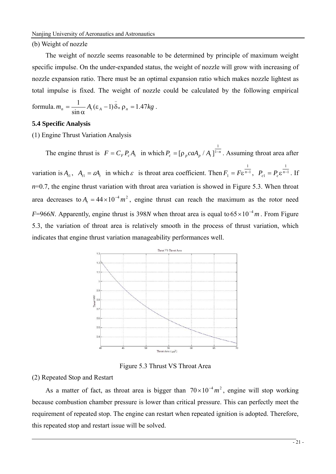#### (b) Weight of nozzle

The weight of nozzle seems reasonable to be determined by principle of maximum weight specific impulse. On the under-expanded status, the weight of nozzle will grow with increasing of nozzle expansion ratio. There must be an optimal expansion ratio which makes nozzle lightest as total impulse is fixed. The weight of nozzle could be calculated by the following empirical

formula. 
$$
m_n = \frac{1}{\sin \alpha} A_t (\varepsilon_A - 1) \bar{\delta}_n \rho_n = 1.47 kg
$$
.

#### **5.4 Specific Analysis**

(1) Engine Thrust Variation Analysis

The engine thrust is  $F = C_F P_c A_t$  in which  $P_c = [\rho_p ca A_p / A_t]^{1-n}$ 1  $[\rho_{n}$  caA<sub>n</sub> / A<sub>t</sub> ]<sup>1-n</sup>. Assuming throat area after variation is  $A_{t1}$ ,  $A_{t1} = \varepsilon A_t$  in which  $\varepsilon$  is throat area coefficient. Then  $F_1 = F\varepsilon^{n-1}$ 1  $F_1 = F \varepsilon^{n-1}$ ,  $P_{c1} = P_c \varepsilon^{n-1}$ 1  $P_{c1} = P_c \varepsilon^{n-1}$ . If  $n=0.7$ , the engine thrust variation with throat area variation is showed in Figure 5.3. When throat area decreases to  $A_t = 44 \times 10^{-4} m^2$ , engine thrust can reach the maximum as the rotor need *F*=966*N*. Apparently, engine thrust is 398*N* when throat area is equal to  $65 \times 10^{-4}$  *m*. From Figure 5.3, the variation of throat area is relatively smooth in the process of thrust variation, which indicates that engine thrust variation manageability performances well.



Figure 5.3 Thrust VS Throat Area

#### (2) Repeated Stop and Restart

As a matter of fact, as throat area is bigger than  $70 \times 10^{-4} m^2$ , engine will stop working because combustion chamber pressure is lower than critical pressure. This can perfectly meet the requirement of repeated stop. The engine can restart when repeated ignition is adopted. Therefore, this repeated stop and restart issue will be solved.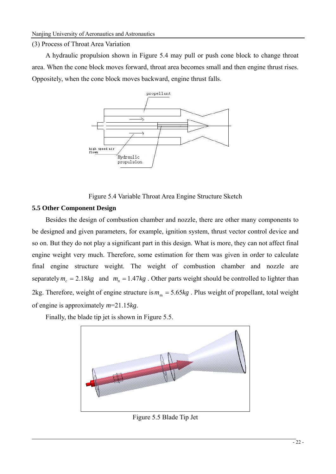#### (3) Process of Throat Area Variation

A hydraulic propulsion shown in Figure 5.4 may pull or push cone block to change throat area. When the cone block moves forward, throat area becomes small and then engine thrust rises. Oppositely, when the cone block moves backward, engine thrust falls.



Figure 5.4 Variable Throat Area Engine Structure Sketch

## **5.5 Other Component Design**

Besides the design of combustion chamber and nozzle, there are other many components to be designed and given parameters, for example, ignition system, thrust vector control device and so on. But they do not play a significant part in this design. What is more, they can not affect final engine weight very much. Therefore, some estimation for them was given in order to calculate final engine structure weight. The weight of combustion chamber and nozzle are separately  $m_c = 2.18kg$  and  $m_n = 1.47kg$ . Other parts weight should be controlled to lighter than 2kg. Therefore, weight of engine structure is  $m_m = 5.65kg$ . Plus weight of propellant, total weight of engine is approximately *m*=21.15*kg*.

Finally, the blade tip jet is shown in Figure 5.5.



Figure 5.5 Blade Tip Jet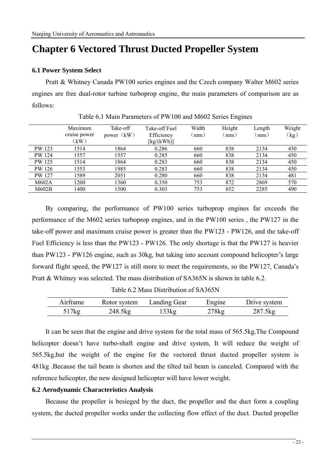# **Chapter 6 Vectored Thrust Ducted Propeller System**

#### **6.1 Power System Select**

Pratt & Whitney Canada PW100 series engines and the Czech company Walter M602 series engines are free dual-rotor turbine turboprop engine, the main parameters of comparison are as follows:

|               | Maximum      | Take-off   | Take-off Fuel | Width | Height | Length | Weight |
|---------------|--------------|------------|---------------|-------|--------|--------|--------|
|               | cruise power | power (kW) | Efficiency    | (mm)  | (mm)   | (mm)   | (kg)   |
|               | (kW)         |            | [kg/(kWh)]    |       |        |        |        |
| PW 123        | 1514         | 1864       | 0.286         | 660   | 838    | 2134   | 450    |
| PW 124        | 1557         | 1557       | 0.285         | 660   | 838    | 2134   | 450    |
| <b>PW 125</b> | 1514         | 1864       | 0.283         | 660   | 838    | 2134   | 450    |
| PW 126        | 1553         | 1985       | 0.283         | 660   | 838    | 2134   | 450    |
| PW 127        | 1589         | 2051       | 0.280         | 660   | 838    | 2134   | 481    |
| M602A         | 1200         | 1360       | 0.350         | 753   | 872    | 2869   | 570    |
| M602B         | 1400         | 1500       | 0.303         | 753   | 852    | 2285   | 490    |

Table 6.1 Main Parameters of PW100 and M602 Series Engines

By comparing, the performance of PW100 series turboprop engines far exceeds the performance of the M602 series turboprop engines, and in the PW100 series , the PW127 in the take-off power and maximum cruise power is greater than the PW123 - PW126, and the take-off Fuel Efficiency is less than the PW123 - PW126. The only shortage is that the PW127 is heavier than PW123 - PW126 engine, such as 30kg, but taking into account compound helicopter's large forward flight speed, the PW127 is still more to meet the requirements, so the PW127, Canada's Pratt & Whitney was selected. The mass distribution of SA365N is shown in table 6.2.

Table 6.2 Mass Distribution of SA365N

| Airframe | Rotor system | Landing Gear | Engine | Drive system |
|----------|--------------|--------------|--------|--------------|
| 517kg    | 248.5kg      | 133kg        | 278kg  | 287.5kg      |

It can be seen that the engine and drive system for the total mass of 565.5kg.The Compound helicopter doesn't have turbo-shaft engine and drive system, It will reduce the weight of 565.5kg,but the weight of the engine for the vectored thrust ducted propeller system is 481kg .Because the tail beam is shorten and the tilted tail beam is canceled. Compared with the reference helicopter, the new designed helicopter will have lower weight.

#### **6.2 Aerodynamic Characteristics Analysis**

Because the propeller is besieged by the duct, the propeller and the duct form a coupling system, the ducted propeller works under the collecting flow effect of the duct. Ducted propeller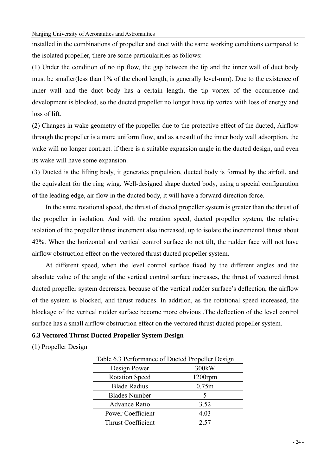installed in the combinations of propeller and duct with the same working conditions compared to the isolated propeller, there are some particularities as follows:

(1) Under the condition of no tip flow, the gap between the tip and the inner wall of duct body must be smaller(less than 1% of the chord length, is generally level-mm). Due to the existence of inner wall and the duct body has a certain length, the tip vortex of the occurrence and development is blocked, so the ducted propeller no longer have tip vortex with loss of energy and loss of lift.

(2) Changes in wake geometry of the propeller due to the protective effect of the ducted, Airflow through the propeller is a more uniform flow, and as a result of the inner body wall adsorption, the wake will no longer contract. if there is a suitable expansion angle in the ducted design, and even its wake will have some expansion.

(3) Ducted is the lifting body, it generates propulsion, ducted body is formed by the airfoil, and the equivalent for the ring wing. Well-designed shape ducted body, using a special configuration of the leading edge, air flow in the ducted body, it will have a forward direction force.

In the same rotational speed, the thrust of ducted propeller system is greater than the thrust of the propeller in isolation. And with the rotation speed, ducted propeller system, the relative isolation of the propeller thrust increment also increased, up to isolate the incremental thrust about 42%. When the horizontal and vertical control surface do not tilt, the rudder face will not have airflow obstruction effect on the vectored thrust ducted propeller system.

At different speed, when the level control surface fixed by the different angles and the absolute value of the angle of the vertical control surface increases, the thrust of vectored thrust ducted propeller system decreases, because of the vertical rudder surface's deflection, the airflow of the system is blocked, and thrust reduces. In addition, as the rotational speed increased, the blockage of the vertical rudder surface become more obvious .The deflection of the level control surface has a small airflow obstruction effect on the vectored thrust ducted propeller system.

### **6.3 Vectored Thrust Ducted Propeller System Design**

(1) Propeller Design

| Table 6.3 Performance of Ducted Propeller Design |            |  |  |
|--------------------------------------------------|------------|--|--|
| Design Power                                     | 300kW      |  |  |
| <b>Rotation Speed</b>                            | $1200$ rpm |  |  |
| <b>Blade Radius</b>                              | 0.75m      |  |  |
| <b>Blades Number</b>                             | 5          |  |  |
| <b>Advance Ratio</b>                             | 3.52       |  |  |
| Power Coefficient                                | 4.03       |  |  |
| <b>Thrust Coefficient</b>                        | 2.57       |  |  |
|                                                  |            |  |  |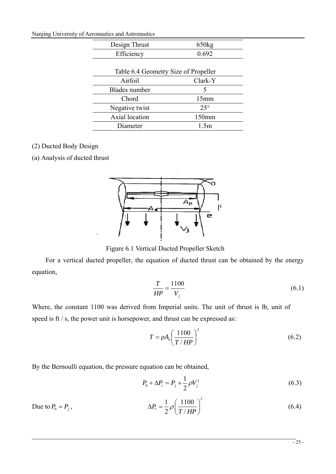Nanjing University of Aeronautics and Astronautics

| Design Thrust                        | 650kg             |
|--------------------------------------|-------------------|
| Efficiency                           | 0.692             |
|                                      |                   |
| Table 6.4 Geometry Size of Propeller |                   |
| Airfoil                              | Clark-Y           |
| <b>Blades</b> number                 | 5                 |
| Chord                                | 15mm              |
| Negative twist                       | $25^{\circ}$      |
| Axial location                       | 150 <sub>mm</sub> |
| Diameter                             | 1 5m              |

# (2) Ducted Body Design

(a) Analysis of ducted thrust



Figure 6.1 Vertical Ducted Propeller Sketch

For a vertical ducted propeller, the equation of ducted thrust can be obtained by the energy equation,

$$
\frac{T}{HP} = \frac{1100}{V_j} \tag{6.1}
$$

Where, the constant 1100 was derived from Imperial units. The unit of thrust is lb, unit of speed is ft / s, the power unit is horsepower, and thrust can be expressed as:

$$
T = \rho A_e \left(\frac{1100}{T/HP}\right)^2 \tag{6.2}
$$

By the Bernoulli equation, the pressure equation can be obtained,

$$
P_0 + \Delta P_r = P_j + \frac{1}{2} \rho V_j^2 \tag{6.3}
$$

Due to 
$$
P_0 = P_j
$$
, 
$$
\Delta P_r = \frac{1}{2} \rho \left( \frac{1100}{T/HP} \right)^2
$$
 (6.4)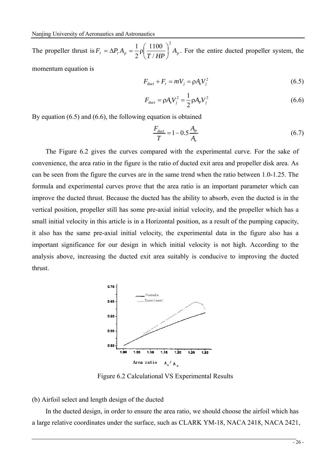The propeller thrust is  $F_r = \Delta P_r A_p = \frac{1}{2} \rho \left( \frac{T_{\text{P}}}{T / H P} \right) A_p$ 2 / 1100 2  $\frac{1}{2} \rho \left( \frac{1100}{\pi / \text{m}} \right)$ ⎠  $\left(\frac{1100}{\pi + 100}\right)$ ⎝  $=\Delta P_r A_n = \frac{1}{2} \rho \left( \frac{1100}{1.50 \text{ m}} \right)^2 A_n$ . For the entire ducted propeller system, the momentum equation is

$$
F_{\text{duct}} + F_r = mV_j = \rho A_e V_j^2 \tag{6.5}
$$

$$
F_{\text{duct}} = \rho A_e V_j^2 = \frac{1}{2} \rho A_p V_j^2 \tag{6.6}
$$

By equation (6.5) and (6.6), the following equation is obtained

$$
\frac{F_{\text{duct}}}{T} = 1 - 0.5 \frac{A_p}{A_e} \tag{6.7}
$$

The Figure 6.2 gives the curves compared with the experimental curve. For the sake of convenience, the area ratio in the figure is the ratio of ducted exit area and propeller disk area. As can be seen from the figure the curves are in the same trend when the ratio between 1.0-1.25. The formula and experimental curves prove that the area ratio is an important parameter which can improve the ducted thrust. Because the ducted has the ability to absorb, even the ducted is in the vertical position, propeller still has some pre-axial initial velocity, and the propeller which has a small initial velocity in this article is in a Horizontal position, as a result of the pumping capacity, it also has the same pre-axial initial velocity, the experimental data in the figure also has a important significance for our design in which initial velocity is not high. According to the analysis above, increasing the ducted exit area suitably is conducive to improving the ducted thrust.



Figure 6.2 Calculational VS Experimental Results

#### (b) Airfoil select and length design of the ducted

In the ducted design, in order to ensure the area ratio, we should choose the airfoil which has a large relative coordinates under the surface, such as CLARK YM-18, NACA 2418, NACA 2421,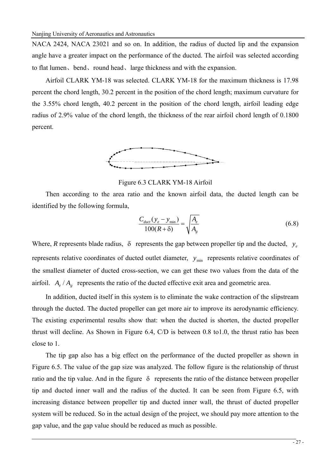NACA 2424, NACA 23021 and so on. In addition, the radius of ducted lip and the expansion angle have a greater impact on the performance of the ducted. The airfoil was selected according to flat lumen, bend, round head, large thickness and with the expansion.

Airfoil CLARK YM-18 was selected. CLARK YM-18 for the maximum thickness is 17.98 percent the chord length, 30.2 percent in the position of the chord length; maximum curvature for the 3.55% chord length, 40.2 percent in the position of the chord length, airfoil leading edge radius of 2.9% value of the chord length, the thickness of the rear airfoil chord length of 0.1800 percent.



Figure 6.3 CLARK YM-18 Airfoil

Then according to the area ratio and the known airfoil data, the ducted length can be identified by the following formula,

$$
\frac{C_{\text{duct}}(y_e - y_{\min})}{100(R + \delta)} = \sqrt{\frac{A_e}{A_g}}
$$
(6.8)

Where, *R* represents blade radius,  $\delta$  represents the gap between propeller tip and the ducted,  $y_e$ represents relative coordinates of ducted outlet diameter,  $y_{min}$  represents relative coordinates of the smallest diameter of ducted cross-section, we can get these two values from the data of the airfoil.  $A_{\rho}$  /  $A_{\sigma}$  represents the ratio of the ducted effective exit area and geometric area.

In addition, ducted itself in this system is to eliminate the wake contraction of the slipstream through the ducted. The ducted propeller can get more air to improve its aerodynamic efficiency. The existing experimental results show that: when the ducted is shorten, the ducted propeller thrust will decline. As Shown in Figure 6.4, C/D is between 0.8 to1.0, the thrust ratio has been close to 1.

The tip gap also has a big effect on the performance of the ducted propeller as shown in Figure 6.5. The value of the gap size was analyzed. The follow figure is the relationship of thrust ratio and the tip value. And in the figure  $\delta$  represents the ratio of the distance between propeller tip and ducted inner wall and the radius of the ducted. It can be seen from Figure 6.5, with increasing distance between propeller tip and ducted inner wall, the thrust of ducted propeller system will be reduced. So in the actual design of the project, we should pay more attention to the gap value, and the gap value should be reduced as much as possible.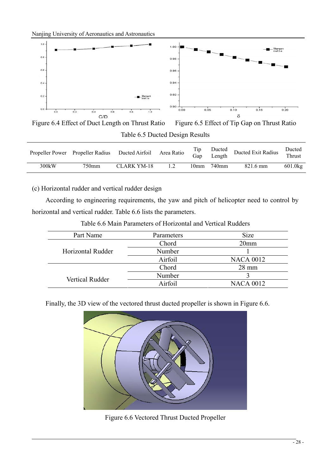Nanjing University of Aeronautics and Astronautics



Figure 6.4 Effect of Duct Length on Thrust Ratio Figure 6.5 Effect of Tip Gap on Thrust Ratio Table 6.5 Ducted Design Results

|       | Propeller Power Propeller Radius Ducted Airfoil Area Ratio |             | Tip<br>Gap | Length          | Ducted Ducted Exit Radius | Ducted<br>Thrust |
|-------|------------------------------------------------------------|-------------|------------|-----------------|---------------------------|------------------|
| 300kW | 750mm                                                      | CLARK YM-18 |            | $10mm$ 740 $mm$ | 821.6 mm                  | $601.0$ kg       |

(c) Horizontal rudder and vertical rudder design

According to engineering requirements, the yaw and pitch of helicopter need to control by horizontal and vertical rudder. Table 6.6 lists the parameters.

| Part Name              | Parameters | <b>Size</b>      |
|------------------------|------------|------------------|
|                        | Chord      | 20 <sub>mm</sub> |
| Horizontal Rudder      | Number     |                  |
|                        | Airfoil    | <b>NACA 0012</b> |
|                        | Chord      | $28 \text{ mm}$  |
| <b>Vertical Rudder</b> | Number     |                  |
|                        | Airfoil    | <b>NACA 0012</b> |

Table 6.6 Main Parameters of Horizontal and Vertical Rudders

Finally, the 3D view of the vectored thrust ducted propeller is shown in Figure 6.6.



Figure 6.6 Vectored Thrust Ducted Propeller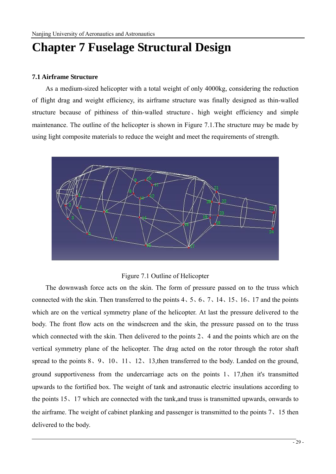# **Chapter 7 Fuselage Structural Design**

### **7.1 Airframe Structure**

As a medium-sized helicopter with a total weight of only 4000kg, considering the reduction of flight drag and weight efficiency, its airframe structure was finally designed as thin-walled structure because of pithiness of thin-walled structure、high weight efficiency and simple maintenance. The outline of the helicopter is shown in Figure 7.1.The structure may be made by using light composite materials to reduce the weight and meet the requirements of strength.



### Figure 7.1 Outline of Helicopter

The downwash force acts on the skin. The form of pressure passed on to the truss which connected with the skin. Then transferred to the points 4、5、6、7、14、15、16、17 and the points which are on the vertical symmetry plane of the helicopter. At last the pressure delivered to the body. The front flow acts on the windscreen and the skin, the pressure passed on to the truss which connected with the skin. Then delivered to the points 2, 4 and the points which are on the vertical symmetry plane of the helicopter. The drag acted on the rotor through the rotor shaft spread to the points  $8, 9, 10, 11, 12, 13$ , then transferred to the body. Landed on the ground, ground supportiveness from the undercarriage acts on the points 1、17,then it's transmitted upwards to the fortified box. The weight of tank and astronautic electric insulations according to the points 15、17 which are connected with the tank,and truss is transmitted upwards, onwards to the airframe. The weight of cabinet planking and passenger is transmitted to the points 7、15 then delivered to the body.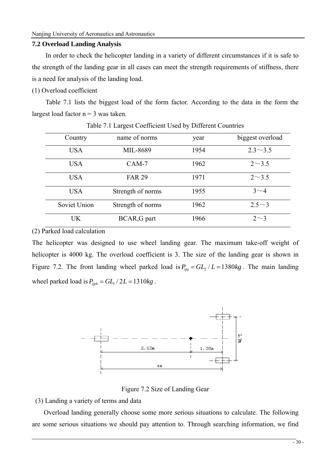#### **7.2 Overload Landing Analysis**

In order to check the helicopter landing in a variety of different circumstances if it is safe to the strength of the landing gear in all cases can meet the strength requirements of stiffness, there is a need for analysis of the landing load.

### (1) Overload coefficient

Table 7.1 lists the biggest load of the form factor. According to the data in the form the largest load factor  $n = 3$  was taken.

| Country      | name of norms     | year | biggest overload |
|--------------|-------------------|------|------------------|
| <b>USA</b>   | MIL-8689          | 1954 | $2.3 \sim 3.5$   |
| <b>USA</b>   | $CAM-7$           | 1962 | $2 \sim 3.5$     |
| <b>USA</b>   | <b>FAR 29</b>     | 1971 | $2 \sim 3.5$     |
| <b>USA</b>   | Strength of norms | 1955 | $3\sim4$         |
| Soviet Union | Strength of norms | 1962 | $2.5^{\sim}3$    |
| <b>UK</b>    | BCAR, G part      | 1966 | $2\sim$ 3        |

Table 7.1 Largest Coefficient Used by Different Countries

(2) Parked load calculation

The helicopter was designed to use wheel landing gear. The maximum take-off weight of helicopter is 4000 kg. The overload coefficient is 3. The size of the landing gear is shown in Figure 7.2. The front landing wheel parked load is  $P_{tia} = GL_2 / L = 1380 kg$ . The main landing wheel parked load is  $P_{t} = GL_1 / 2L = 1310 kg$ .



Figure 7.2 Size of Landing Gear

(3) Landing a variety of terms and data

Overload landing generally choose some more serious situations to calculate. The following are some serious situations we should pay attention to. Through searching information, we find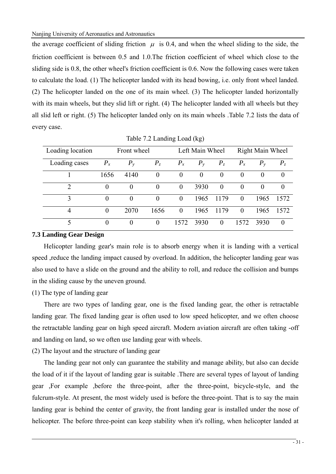the average coefficient of sliding friction  $\mu$  is 0.4, and when the wheel sliding to the side, the friction coefficient is between 0.5 and 1.0.The friction coefficient of wheel which close to the sliding side is 0.8, the other wheel's friction coefficient is 0.6. Now the following cases were taken to calculate the load. (1) The helicopter landed with its head bowing, i.e. only front wheel landed. (2) The helicopter landed on the one of its main wheel. (3) The helicopter landed horizontally with its main wheels, but they slid lift or right. (4) The helicopter landed with all wheels but they all slid left or right. (5) The helicopter landed only on its main wheels .Table 7.2 lists the data of every case.

| Loading location |         | Front wheel |          |          | Left Main Wheel |          |          | Right Main Wheel |          |
|------------------|---------|-------------|----------|----------|-----------------|----------|----------|------------------|----------|
| Loading cases    | $P_{x}$ | $P_{v}$     | $P_z$    | $P_{x}$  | $P_{v}$         | $P_z$    | $P_{x}$  | $P_{v}$          | $P_z$    |
|                  | 1656    | 4140        | $\theta$ | $\theta$ | $\theta$        | $\theta$ | $\theta$ | $\theta$         | $\theta$ |
| $\overline{2}$   |         | $\theta$    | $\theta$ | $\theta$ | 3930            | $\theta$ | $\theta$ | $\theta$         | $\theta$ |
| 3                |         | $\Omega$    | $\theta$ | $\theta$ | 1965            | 1179     | $\Omega$ | 1965             | 1572     |
| 4                |         | 2070        | 1656     | $\theta$ | 1965            | 1179     | $\Omega$ | 1965             | 1572     |
|                  | 0       | $\theta$    | 0        | 1572     | 3930            | $\theta$ | 1572     | 3930             | $\theta$ |

Table 7.2 Landing Load (kg)

### **7.3 Landing Gear Design**

Helicopter landing gear's main role is to absorb energy when it is landing with a vertical speed ,reduce the landing impact caused by overload. In addition, the helicopter landing gear was also used to have a slide on the ground and the ability to roll, and reduce the collision and bumps in the sliding cause by the uneven ground.

### (1) The type of landing gear

There are two types of landing gear, one is the fixed landing gear, the other is retractable landing gear. The fixed landing gear is often used to low speed helicopter, and we often choose the retractable landing gear on high speed aircraft. Modern aviation aircraft are often taking -off and landing on land, so we often use landing gear with wheels.

(2) The layout and the structure of landing gear

The landing gear not only can guarantee the stability and manage ability, but also can decide the load of it if the layout of landing gear is suitable .There are several types of layout of landing gear ,For example ,before the three-point, after the three-point, bicycle-style, and the fulcrum-style. At present, the most widely used is before the three-point. That is to say the main landing gear is behind the center of gravity, the front landing gear is installed under the nose of helicopter. The before three-point can keep stability when it's rolling, when helicopter landed at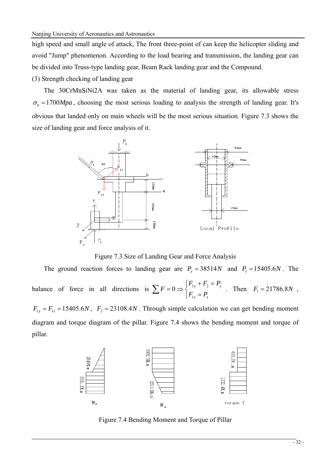high speed and small angle of attack, The front three-point of can keep the helicopter sliding and avoid "Jump" phenomenon. According to the load bearing and transmission, the landing gear can be divided into Truss-type landing gear, Beam Rack landing gear and the Compound.

(3) Strength checking of landing gear

pillar.

The 30CrMnSiNi2A was taken as the material of landing gear, its allowable stress  $\sigma_b = 1700 Mpa$ , choosing the most serious loading to analysis the strength of landing gear. It's obvious that landed only on main wheels will be the most serious situation. Figure 7.3 shows the size of landing gear and force analysis of it.



Figure 7.3 Size of Landing Gear and Force Analysis

The ground reaction forces to landing gear are  $P_y = 38514N$  and  $P_z = 15405.6N$ . The balance of force in all directions is  $\sum F = 0 \Rightarrow \begin{cases} 1+y^{-1/2} \end{cases}$ 1  $0 \Rightarrow \begin{cases} \begin{array}{c} \textbf{1}_{y} & \textbf{1}_{z} - \textbf{1}_{y} \\ \end{array} \end{cases}$ *z z*  $F_{1v} + F_2 = P$ *F*  $F_{1z} = P_{0z}$  $\sum F = 0 \Longrightarrow \begin{cases} F_{1y} + F_2 = P_y \\ F_{1z} = P_z \end{cases}$ . Then  $F_1 = 21786.8N$ ,  $F_{1y} = F_{1z} = 15405.6N$ ,  $F_2 = 23108.4N$ . Through simple calculation we can get bending moment diagram and torque diagram of the pillar. Figure 7.4 shows the bending moment and torque of



Figure 7.4 Bending Moment and Torque of Pillar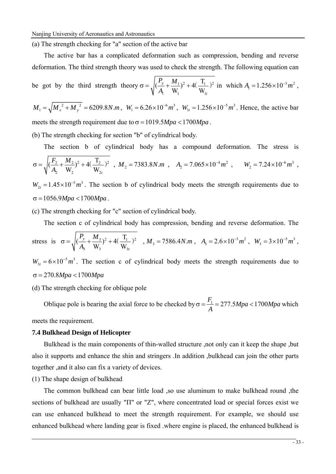(a) The strength checking for "a" section of the active bar

The active bar has a complicated deformation such as compression, bending and reverse deformation. The third strength theory was used to check the strength. The following equation can

be got by the third strength theory 
$$
\sigma = \sqrt{\left(\frac{P_y}{A_1} + \frac{M_1}{W_1}\right)^2 + 4\left(\frac{T_1}{W_{1t}}\right)^2}
$$
 in which  $A_1 = 1.256 \times 10^{-3} m^2$ ,

 $M_1 = \sqrt{M_x^2 + M_y^2} = 6209.8 N.m$ ,  $W_1 = 6.26 \times 10^{-6} m^3$ ,  $W_{1t} = 1.256 \times 10^{-5} m^3$ . Hence, the active bar meets the strength requirement due to  $\sigma = 1019.5 Mpa < 1700 Mpa$ .

(b) The strength checking for section "b" of cylindrical body.

The section b of cylindrical body has a compound deformation. The stress is  
\n
$$
\sigma = \sqrt{\left(\frac{F_2}{A_2} + \frac{M_2}{W_2}\right)^2 + 4\left(\frac{T_2}{W_{2t}}\right)^2}, \ M_2 = 7383.8N.m, \ A_2 = 7.065 \times 10^{-4} m^2, \ W_2 = 7.24 \times 10^{-6} m^3,
$$

 $W_{2t} = 1.45 \times 10^{-5} m^3$ . The section b of cylindrical body meets the strength requirements due to  $σ = 1056.9 Mpa < 1700 Mpa$ .

(c) The strength checking for "c" section of cylindrical body.

The section c of cylindrical body has compression, bending and reverse deformation. The

stress is  $\sigma = \sqrt{(\frac{T_y}{T} + \frac{M_3}{T})^2 + 4(\frac{T_1}{T})^2}$  $\left(\frac{P_y}{A_3} + \frac{M_3}{W_3}\right)^2 + 4\left(\frac{T_1}{W_3}\right)$ *t*  $P_{v}$  *M*  $\sigma = \sqrt{\left(\frac{I_y}{A_3} + \frac{M_3}{W_3}\right)^2 + 4\left(\frac{I_1}{W_3}\right)^2}$ ,  $M_3 = 7586.4 N.m$ ,  $A_3 = 2.6 \times 10^{-3} m^2$ ,  $W_3 = 3 \times 10^{-5} m^3$ ,  $W_{3t} = 6 \times 10^{-5} m^3$ . The section c of cylindrical body meets the strength requirements due to  $σ = 270.8 Mpa < 1700 Mpa$ 

(d) The strength checking for oblique pole

Oblique pole is bearing the axial force to be checked by  $\sigma = \frac{F_1}{A} = 277.5 Mpa < 1700 Mpa$  which meets the requirement.

#### **7.4 Bulkhead Design of Helicopter**

Bulkhead is the main components of thin-walled structure ,not only can it keep the shape ,but also it supports and enhance the shin and stringers .In addition ,bulkhead can join the other parts together ,and it also can fix a variety of devices.

#### (1) The shape design of bulkhead

The common bulkhead can bear little load ,so use aluminum to make bulkhead round ,the sections of bulkhead are usually "Π" or "Z", where concentrated load or special forces exist we can use enhanced bulkhead to meet the strength requirement. For example, we should use enhanced bulkhead where landing gear is fixed .where engine is placed, the enhanced bulkhead is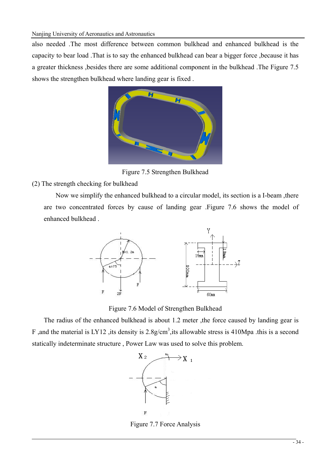also needed .The most difference between common bulkhead and enhanced bulkhead is the capacity to bear load .That is to say the enhanced bulkhead can bear a bigger force ,because it has a greater thickness ,besides there are some additional component in the bulkhead .The Figure 7.5 shows the strengthen bulkhead where landing gear is fixed .



Figure 7.5 Strengthen Bulkhead

# (2) The strength checking for bulkhead

Now we simplify the enhanced bulkhead to a circular model, its section is a I-beam ,there are two concentrated forces by cause of landing gear .Figure 7.6 shows the model of enhanced bulkhead .



Figure 7.6 Model of Strengthen Bulkhead

The radius of the enhanced bulkhead is about 1.2 meter ,the force caused by landing gear is F, and the material is LY12, its density is  $2.8g/cm^3$ , its allowable stress is 410Mpa. this is a second statically indeterminate structure , Power Law was used to solve this problem.



Figure 7.7 Force Analysis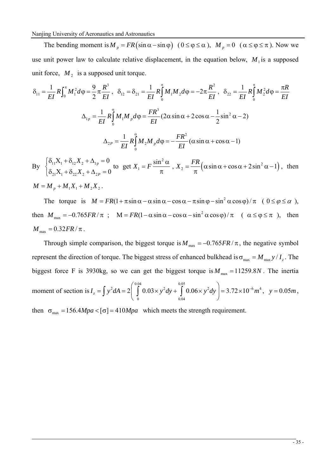Nanjing University of Aeronautics and Astronautics

The bending moment is  $M_p = FR \left( \sin \alpha - \sin \varphi \right)$   $(0 \le \varphi \le \alpha)$ ,  $M_p = 0$   $(\alpha \le \varphi \le \pi)$ . Now we use unit power law to calculate relative displacement, in the equation below,  $M_1$  is a supposed unit force,  $M<sub>2</sub>$  is a supposed unit torque.

$$
\delta_{11} = \frac{1}{EI} R \int_0^{\pi} M_1^2 d\varphi = \frac{9}{2} \pi \frac{R^3}{EI}, \quad \delta_{12} = \delta_{21} = \frac{1}{EI} R \int_0^{\pi} M_1 M_2 d\varphi = -2 \pi \frac{R^2}{EI}, \quad \delta_{22} = \frac{1}{EI} R \int_0^{\pi} M_2^2 d\varphi = \frac{\pi R}{EI}
$$
  

$$
\Delta_{1p} = \frac{1}{EI} R \int_0^{\alpha} M_1 M_p d\varphi = \frac{FR^3}{EI} (2 \alpha \sin \alpha + 2 \cos \alpha - \frac{1}{2} \sin^2 \alpha - 2)
$$
  

$$
\Delta_{2p} = \frac{1}{EI} R \int_0^{\alpha} M_2 M_p d\varphi = -\frac{FR^2}{EI} (\alpha \sin \alpha + \cos \alpha - 1)
$$
  
By 
$$
\begin{cases} \delta_{11} X_1 + \delta_{12} X_2 + \Delta_{1p} = 0 \\ \delta_{2p} = \frac{1}{EI} \cos \alpha + \frac{\pi}{2} \cos \alpha + \frac{\pi}{2} \cos \alpha - \frac{\pi}{2} \cos \alpha \cos \alpha - \frac{\pi}{2} \cos \alpha - \frac{\pi}{2} \cos \alpha \cos \alpha - \frac{\pi}{2} \cos \alpha \cos \alpha - \frac{\pi}{2} \cos \alpha \cos \alpha - \frac{\pi}{2} \cos \alpha \cos \alpha - \frac{\pi}{2} \cos \alpha \cos \alpha - \frac{\pi}{2} \cos \alpha \cos \alpha - \frac{\pi}{2} \cos \alpha \cos \alpha - \frac{\pi}{2} \cos \alpha \cos \alpha - \frac{\pi}{2} \cos \alpha \cos \alpha - \frac{\pi}{2} \cos \alpha \cos \alpha - \frac{\pi}{2} \cos \alpha \cos \alpha - \frac{\pi}{2} \cos \alpha \cos \alpha - \frac{\pi}{2} \cos \alpha \cos \alpha - \frac{\pi}{2} \cos \alpha \cos \alpha - \frac{\pi}{2} \cos \alpha \cos \alpha - \frac{\pi}{2} \cos \alpha \cos \alpha - \frac{\pi}{2} \cos \alpha \cos \alpha - \frac{\pi}{2} \cos \alpha \cos \alpha - \frac{\pi}{2} \cos \alpha \cos \alpha - \frac{\pi}{2} \cos \alpha \cos \alpha - \frac{\pi}{2} \cos \alpha \cos \alpha - \frac{\pi}{2} \cos
$$

 $\Delta_{21}X_1 + \delta_{22}X_2 + \Delta_{2P} = 0$  $\begin{cases} \delta_{21}X_1 + \delta_{22}X_2 + \Delta_{2P} = 0 \end{cases}$  to get  $X_1 = F \frac{\sin^2 \alpha}{\pi}$ ,  $X_2 = \frac{FR}{\pi} (\alpha \sin \alpha + \cos \alpha + 2 \sin^2 \alpha - 1)$ π  $\mathfrak{n}$  $M = M_{p} + M_{1}X_{1} + M_{2}X_{2}$ .

The torque is  $M = FR(1 + \pi \sin \alpha - \alpha \sin \alpha - \cos \alpha - \pi \sin \varphi - \sin^2 \alpha \cos \varphi)/\pi$  ( $0 \le \varphi \le \alpha$ ), then  $M_{\text{max}} = -0.765FR / \pi$ ;  $M = FR(1 - \alpha \sin \alpha - \cos \alpha - \sin^2 \alpha \cos \varphi) / \pi$  ( $\alpha \le \varphi \le \pi$ ), then  $M_{\text{max}} = 0.32FR / \pi$ .

Through simple comparison, the biggest torque is  $M_{\text{max}} = -0.765FR / \pi$ , the negative symbol represent the direction of torque. The biggest stress of enhanced bulkhead is  $\sigma_{\text{max}} = M_{\text{max}} y / I_z$ . The biggest force F is 3930kg, so we can get the biggest torque is  $M_{\text{max}} = 11259.8N$ . The inertia moment of section is 0.04 0.05  $\left[0.02 \times 2 \right]$   $\left[0.02 \times 2 \right]$   $\left[0.06 \times 2 \right]$   $\left[0.272 \times 10^{-6}$   $m^4$ 0 0.04  $I_z = \int y^2 dA = 2 \int \int^{0.04} 0.03 \times y^2 dy + \int^{0.05} 0.06 \times y^2 dy = 3.72 \times 10^{-6} m$  $=\int y^2 dA = 2 \left( \int_0^1 0.03 \times y^2 dy + \int_{0.04}^1 0.06 \times y^2 dy \right) = 3.72 \times 10^{-6} m^4$ ,  $y = 0.05 m$ ,

then  $\sigma_{\text{max}} = 156.4 Mpa < [\sigma] = 410 Mpa$  which meets the strength requirement.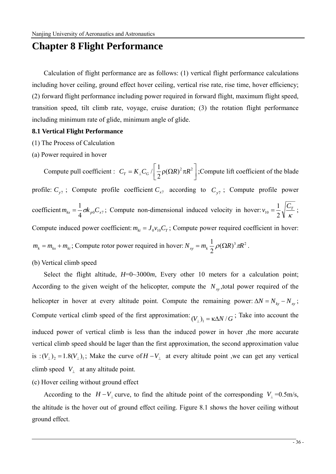# **Chapter 8 Flight Performance**

Calculation of flight performance are as follows: (1) vertical flight performance calculations including hover ceiling, ground effect hover ceiling, vertical rise rate, rise time, hover efficiency; (2) forward flight performance including power required in forward flight, maximum flight speed, transition speed, tilt climb rate, voyage, cruise duration; (3) the rotation flight performance including minimum rate of glide, minimum angle of glide.

#### **8.1 Vertical Flight Performance**

- (1) The Process of Calculation
- (a) Power required in hover

Compute pull coefficient :  $C_T = K_\perp C_G / \left[ \frac{1}{2} \rho (\Omega R)^2 \pi R^2 \right]$ ; Compute lift coefficient of the blade profile:  $C_{y7}$ ; Compute profile coefficient  $C_{x7}$  according to  $C_{y7}$ ; Compute profile power coefficient  $m_{kx} = \frac{1}{4} \sigma k_{p0} C_{x7}$ ; Compute non-dimensional induced velocity in hover:  $v_{10} = \frac{1}{2} \sqrt{\frac{C_7}{\kappa}}$ 2  $v_{10} = \frac{1}{2} \sqrt{\frac{C_T}{\mu}}$ ; Compute induced power coefficient:  $m_{ki} = J_0 v_{10} C_T$ ; Compute power required coefficient in hover:  $m_k = m_{kx} + m_{ki}$ ; Compute rotor power required in hover:  $N_{xy} = m_k \frac{1}{2} \rho (\Omega R)^3 \pi R^2$ .

### (b) Vertical climb speed

Select the flight altitude,  $H=0$  ~3000 $m$ , Every other 10 meters for a calculation point; According to the given weight of the helicopter, compute the  $N_{xy}$ , total power required of the helicopter in hover at every altitude point. Compute the remaining power:  $\Delta N = N_{ky} - N_{xy}$ ; Compute vertical climb speed of the first approximation:  $(V_1)_1 = \kappa \Delta N / G$ ; Take into account the induced power of vertical climb is less than the induced power in hover ,the more accurate vertical climb speed should be lager than the first approximation, the second approximation value is :  $(V_{\perp})_2 = 1.8(V_{\perp})_1$ ; Make the curve of  $H - V_{\perp}$  at every altitude point ,we can get any vertical climb speed  $V_{\perp}$  at any altitude point.

#### (c) Hover ceiling without ground effect

According to the  $H - V_{\perp}$  curve, to find the altitude point of the corresponding  $V_{\perp} = 0.5$ m/s, the altitude is the hover out of ground effect ceiling. Figure 8.1 shows the hover ceiling without ground effect.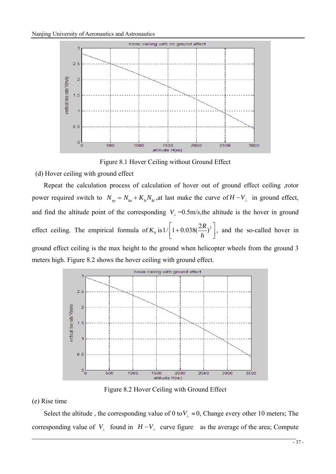

Figure 8.1 Hover Ceiling without Ground Effect

(d) Hover ceiling with ground effect

Repeat the calculation process of calculation of hover out of ground effect ceiling ,rotor power required switch to  $N_{xy} = N_{kx} + K_h N_{ki}$ , at last make the curve of  $H - V_{\perp}$  in ground effect, and find the altitude point of the corresponding  $V_1 = 0.5$ m/s, the altitude is the hover in ground effect ceiling. The empirical formula of  $K_h$  is  $1/ \left[ 1 + 0.038 \left( \frac{2R}{h} \right)^2 \right]$ , and the so-called hover in ground effect ceiling is the max height to the ground when helicopter wheels from the ground 3 meters high. Figure 8.2 shows the hover ceiling with ground effect.



Figure 8.2 Hover Ceiling with Ground Effect

(e) Rise time

Select the altitude, the corresponding value of 0 to  $V_{\perp} \approx 0$ , Change every other 10 meters; The corresponding value of *V*<sub>⊥</sub> found in  $H - V_$  curve figure as the average of the area; Compute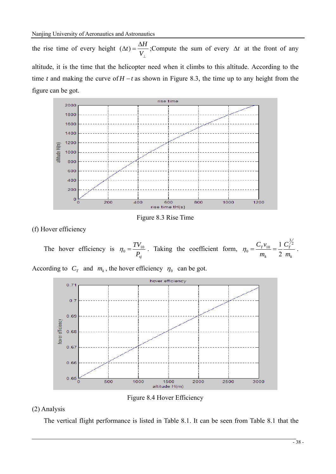the rise time of every height  $(\Delta t) = \frac{\Delta H}{V_{\perp}}$ ; Compute the sum of every  $\Delta t$  at the front of any altitude, it is the time that the helicopter need when it climbs to this altitude. According to the time *t* and making the curve of *H* − *t* as shown in Figure 8.3, the time up to any height from the figure can be got.



Figure 8.3 Rise Time

(f) Hover efficiency

The hover efficiency is  $\eta_0 = \frac{TV_{10}}{P_{sj}}$ . Taking the coefficient form, *k T k T m C m*  $C_T v_{10}$  1  $C_T^{\frac{3}{2}}$  $b_0 = \frac{C_T v_{10}}{m_k} = \frac{1}{2}$  $\eta_0 = \frac{C_T v_{10}}{C_T} = \frac{1}{2} \frac{C_T^{\gamma_2}}{C_T}.$ 

According to  $C_T$  and  $m_k$ , the hover efficiency  $\eta_0$  can be got.



Figure 8.4 Hover Efficiency

## (2) Analysis

The vertical flight performance is listed in Table 8.1. It can be seen from Table 8.1 that the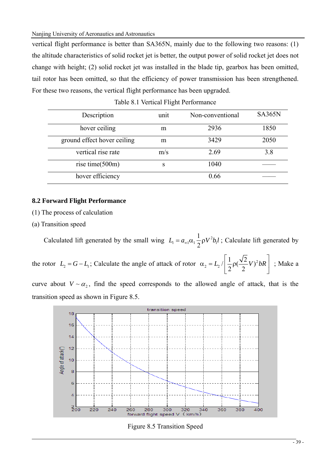Nanjing University of Aeronautics and Astronautics

vertical flight performance is better than SA365N, mainly due to the following two reasons: (1) the altitude characteristics of solid rocket jet is better, the output power of solid rocket jet does not change with height; (2) solid rocket jet was installed in the blade tip, gearbox has been omitted, tail rotor has been omitted, so that the efficiency of power transmission has been strengthened. For these two reasons, the vertical flight performance has been upgraded.

| Description                 | unit | Non-conventional | <b>SA365N</b> |
|-----------------------------|------|------------------|---------------|
| hover ceiling               | m    | 2936             | 1850          |
| ground effect hover ceiling | m    | 3429             | 2050          |
| vertical rise rate          | m/s  | 2.69             | 3.8           |
| rise time $(500m)$          | S    | 1040             |               |
| hover efficiency            |      | 0.66             |               |

|  |  |  | Table 8.1 Vertical Flight Performance |
|--|--|--|---------------------------------------|
|--|--|--|---------------------------------------|

### **8.2 Forward Flight Performance**

(1) The process of calculation

(a) Transition speed

Calculated lift generated by the small wing  $L_1 = a_{\infty 1} \alpha_1 \frac{1}{2} \rho V^2 b_1$ 1  $L_1 = a_{\infty 1} \alpha_1 \frac{1}{2} \rho V^2 b_1 l$ ; Calculate lift generated by

the rotor  $L_2 = G - L_1$ ; Calculate the angle of attack of rotor  $\alpha_2 = L_2 / \left( \frac{1}{2} \rho \left( \frac{\sqrt{2}}{2} V \right)^2 bR \right)$  $\left|1\right\rangle\sqrt{2}$  $\alpha_2 = L_2 / \left[ \frac{1}{2} \rho \left( \frac{\sqrt{2}}{2} V \right)^2 bR \right]$ ; Make a

curve about  $V \sim \alpha_2$ , find the speed corresponds to the allowed angle of attack, that is the transition speed as shown in Figure 8.5.



Figure 8.5 Transition Speed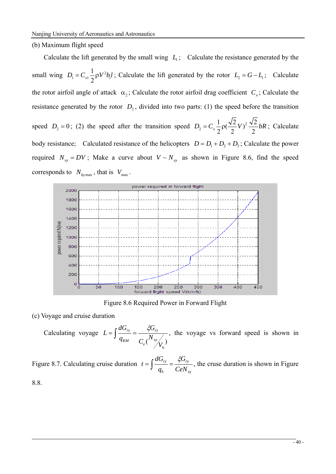#### (b) Maximum flight speed

Calculate the lift generated by the small wing  $L_1$ ; Calculate the resistance generated by the small wing  $D_1 = C_{x1} \frac{1}{2} \rho V^2 b_1$ 1  $D_1 = C_{x1} \frac{1}{2} \rho V^2 b_1 l$ ; Calculate the lift generated by the rotor  $L_2 = G - L_1$ ; Calculate the rotor airfoil angle of attack  $\alpha_2$ ; Calculate the rotor airfoil drag coefficient  $C<sub>x</sub>$ ; Calculate the resistance generated by the rotor  $D_2$ , divided into two parts: (1) the speed before the transition speed  $D_2 = 0$ ; (2) the speed after the transition speed  $D_2 = C_x \frac{1}{2} \rho \left(\frac{\sqrt{2}}{2}V\right)^2 \frac{\sqrt{2}}{2} bR$ ; Calculate body resistance; Calculated resistance of the helicopters  $D = D_1 + D_2 + D_3$ ; Calculate the power required  $N_{xy} = DV$ ; Make a curve about  $V \sim N_{xy}$  as shown in Figure 8.6, find the speed corresponds to  $N_{k_{\text{ymax}}}$ , that is  $V_{\text{max}}$ .



Figure 8.6 Required Power in Forward Flight

(c) Voyage and cruise duration

Calculating voyage  $C_e(\frac{N_{\mathrm{xy}}}{V_0})$ *G q dG L*  $\int_e^I \left( \frac{dy}{dx} \right)$ *ry*  $f = \int \frac{dG_{ry}}{q_{KM}} = \frac{\xi G_{ry}}{C \left(\frac{N_{xy}}{N}\right)}$ , the voyage vs forward speed is shown in

Figure 8.7. Calculating cruise duration *xy ry h ry CeN G q*  $t = \int \frac{dG_{ry}}{dG} = \frac{\xi G_{ry}}{CeN}$ , the cruse duration is shown in Figure

8.8.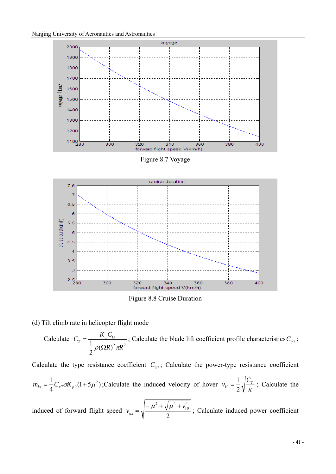

Figure 8.7 Voyage



Figure 8.8 Cruise Duration

(d) Tilt climb rate in helicopter flight mode

Calculate  $\frac{1}{2} \rho (\Omega R)^2 \pi R^2$  $C_T = \frac{K_{\perp} C_G}{\frac{1}{2} \rho (\Omega R)^2 \pi}$  $=\frac{K_{\perp}C_G}{1}$ ; Calculate the blade lift coefficient profile characteristics  $C_{y7}$ ;

Calculate the type resistance coefficient  $C_{\tau}$ ; Calculate the power-type resistance coefficient  $m_{kx} = \frac{1}{4} C_{x7} \sigma K_{p0} (1 + 5 \mu^2)$ ; Calculate the induced velocity of hover  $v_{10} = \frac{1}{2} \sqrt{\frac{C_7}{\kappa}}$ 2  $v_{10} = \frac{1}{2} \sqrt{\frac{C_T}{m}}$ ; Calculate the induced of forward flight speed  $v_{dx} = \sqrt{\frac{\mu + \sqrt{2}}{2}}$ 4 10  $\mu^2 + \sqrt{\mu^4 + \nu^2}$  $v_{dx} = \sqrt{\frac{-\mu^2 + \sqrt{\mu^4 + v_{10}^4}}{2}}$ ; Calculate induced power coefficient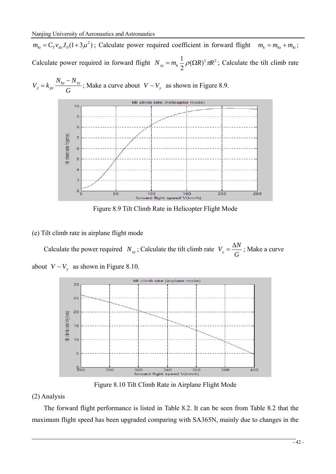$m_{ki} = C_T v_{dx} J_0 (1 + 3 \mu^2)$ ; Calculate power required coefficient in forward flight  $m_k = m_{kx} + m_{ki}$ ; Calculate power required in forward flight  $N_{xy} = m_k \frac{1}{2} \rho (\Omega R)^3 \pi R^2$ ; Calculate the tilt climb rate





Figure 8.9 Tilt Climb Rate in Helicopter Flight Mode

### (e) Tilt climb rate in airplane flight mode

Calculate the power required *N<sub>xy</sub>*; Calculate the tilt climb rate  $V_y = \frac{\Delta N}{G}$ ; Make a curve about  $V \sim V_v$  as shown in Figure 8.10.



Figure 8.10 Tilt Climb Rate in Airplane Flight Mode

## (2) Analysis

The forward flight performance is listed in Table 8.2. It can be seen from Table 8.2 that the maximum flight speed has been upgraded comparing with SA365N, mainly due to changes in the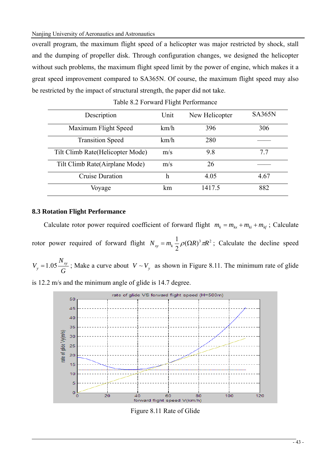Nanjing University of Aeronautics and Astronautics

overall program, the maximum flight speed of a helicopter was major restricted by shock, stall and the dumping of propeller disk. Through configuration changes, we designed the helicopter without such problems, the maximum flight speed limit by the power of engine, which makes it a great speed improvement compared to SA365N. Of course, the maximum flight speed may also be restricted by the impact of structural strength, the paper did not take.

| Description                       | Unit | New Helicopter | <b>SA365N</b> |
|-----------------------------------|------|----------------|---------------|
| Maximum Flight Speed              | km/h | 396            | 306           |
| <b>Transition Speed</b>           | km/h | 280            |               |
| Tilt Climb Rate (Helicopter Mode) | m/s  | 9.8            | 77            |
| Tilt Climb Rate (Airplane Mode)   | m/s  | 26             |               |
| Cruise Duration                   | h    | 4.05           | 4.67          |
| Voyage                            | km   | 1417.5         | 882           |

|  | Table 8.2 Forward Flight Performance |
|--|--------------------------------------|
|--|--------------------------------------|

### **8.3 Rotation Flight Performance**

Calculate rotor power required coefficient of forward flight  $m_k = m_{kx} + m_{ki} + m_{kf}$ ; Calculate rotor power required of forward flight  $N_{xy} = m_k \frac{1}{2} \rho (\Omega R)^3 \pi R^2$ ; Calculate the decline speed

*G*  $V_y = 1.05 \frac{N_{xy}}{G}$ ; Make a curve about  $V \sim V_y$  as shown in Figure 8.11. The minimum rate of glide

is 12.2 m/s and the minimum angle of glide is 14.7 degree.



Figure 8.11 Rate of Glide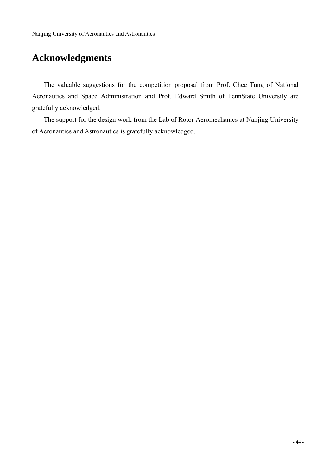# **Acknowledgments**

The valuable suggestions for the competition proposal from Prof. Chee Tung of National Aeronautics and Space Administration and Prof. Edward Smith of PennState University are gratefully acknowledged.

The support for the design work from the Lab of Rotor Aeromechanics at Nanjing University of Aeronautics and Astronautics is gratefully acknowledged.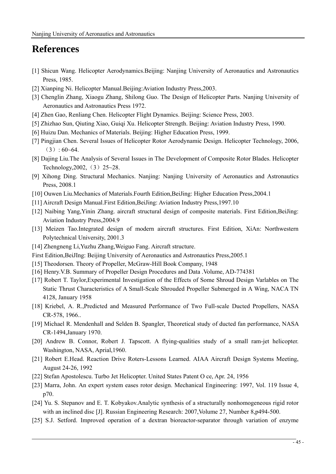# **References**

- [1] Shicun Wang. Helicopter Aerodynamics.Beijing: Nanjing University of Aeronautics and Astronautics Press, 1985.
- [2] Xianping Ni. Helicopter Manual.Beijing:Aviation Industry Press,2003.
- [3] Chenglin Zhang, Xiaogu Zhang, Shilong Guo. The Design of Helicopter Parts. Nanjing University of Aeronautics and Astronautics Press 1972.
- [4] Zhen Gao, Renliang Chen. Helicopter Flight Dynamics. Beijing: Science Press, 2003.
- [5] Zhizhao Sun, Qiuting Xiao, Guiqi Xu. Helicopter Strength. Beijing: Aviation Industry Press, 1990.
- [6] Huizu Dan. Mechanics of Materials. Beijing: Higher Education Press, 1999.
- [7] Pingjian Chen. Several Issues of Helicopter Rotor Aerodynamic Design. Helicopter Technology, 2006,  $(3): 60~64.$
- [8] Dajing Liu.The Analysis of Several Issues in The Development of Composite Rotor Blades. Helicopter Technology,  $2002$ , (3)  $25~28$ .
- [9] Xihong Ding. Structural Mechanics. Nanjing: Nanjing University of Aeronautics and Astronautics Press, 2008.1
- [10] Ouwen Liu.Mechanics of Materials.Fourth Edition,BeiJing: Higher Education Press,2004.1
- [11] Aircraft Design Manual.First Edition,BeiJing: Aviation Industry Press,1997.10
- [12] Naibing Yang,Yinin Zhang. aircraft structural design of composite materials. First Edition,BeiJing: Aviation Industry Press,2004.9
- [13] Meizen Tao.Integrated design of modern aircraft structures. First Edition, XiAn: Northwestern Polytechnical University, 2001.3
- [14] Zhengneng Li,Yuzhu Zhang,Weiguo Fang. Aircraft structure.
- First Edition,BeiJIng: Beijing University of Aeronautics and Astronautics Press,2005.1
- [15] Theodorsen. Theory of Propeller, McGraw-Hill Book Company, 1948
- [16] Henry.V.B. Summary of Propeller Design Procedures and Data .Volume, AD-774381
- [17] Robert T. Taylor,Experimental Investigation of the Effects of Some Shroud Design Varlables on The Static Thrust Characteristics of A Small-Scale Shrouded Propeller Submerged in A Wing, NACA TN 4128, January 1958
- [18] Kriebel, A. R.,Predicted and Measured Performance of Two Full-scale Ducted Propellers, NASA CR-578, 1966..
- [19] Michael R. Mendenhall and Selden B. Spangler, Theoretical study of ducted fan performance, NASA CR-1494,January 1970.
- [20] Andrew B. Connor, Robert J. Tapscott. A flying-qualities study of a small ram-jet helicopter. Washington, NASA, Aprial,1960.
- [21] Robert E.Head. Reaction Drive Roters-Lessons Learned. AIAA Aircraft Design Systems Meeting, August 24-26, 1992
- [22] Stefan Apostolescu. Turbo Jet Helicopter. United States Patent O ce, Apr. 24, 1956
- [23] Marra, John. An expert system eases rotor design. Mechanical Engineering: 1997, Vol. 119 Issue 4, p70.
- [24] Yu. S. Stepanov and E. T. Kobyakov.Analytic synthesis of a structurally nonhomogeneous rigid rotor with an inclined disc [J]. Russian Engineering Research: 2007, Volume 27, Number 8, p494-500.
- [25] S.J. Setford. Improved operation of a dextran bioreactor-separator through variation of enzyme